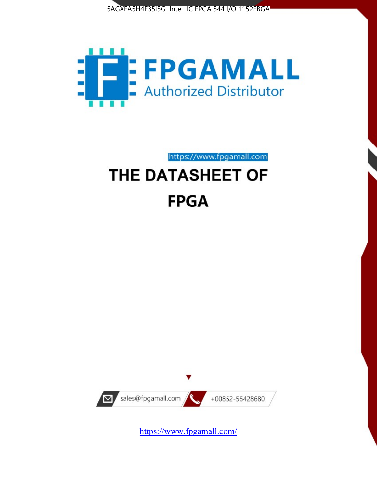



https://www.fpgamall.com

# THE DATASHEET OF **FPGA**



<https://www.fpgamall.com/>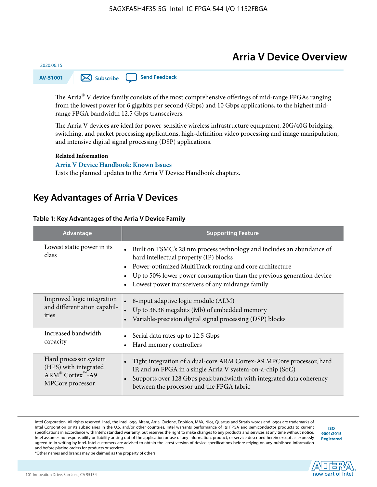# **Arria V Device Overview**



The Arria $^{\circledR}$  V device family consists of the most comprehensive offerings of mid-range FPGAs ranging from the lowest power for 6 gigabits per second (Gbps) and 10 Gbps applications, to the highest midrange FPGA bandwidth 12.5 Gbps transceivers.

The Arria V devices are ideal for power-sensitive wireless infrastructure equipment, 20G/40G bridging, switching, and packet processing applications, high-definition video processing and image manipulation, and intensive digital signal processing (DSP) applications.

#### **Related Information**

2020.06.15

**[Arria V Device Handbook: Known Issues](https://www.altera.com/support/support-resources/knowledge-base/solutions/rd10262011_653.html)** Lists the planned updates to the Arria V Device Handbook chapters.

# **Key Advantages of Arria V Devices**

#### **Table 1: Key Advantages of the Arria V Device Family**

| Advantage                           | <b>Supporting Feature</b>                                                                                                                                                                                                                                                                                             |  |  |  |
|-------------------------------------|-----------------------------------------------------------------------------------------------------------------------------------------------------------------------------------------------------------------------------------------------------------------------------------------------------------------------|--|--|--|
| Lowest static power in its<br>class | Built on TSMC's 28 nm process technology and includes an abundance of<br>$\bullet$<br>hard intellectual property (IP) blocks<br>Power-optimized MultiTrack routing and core architecture<br>Up to 50% lower power consumption than the previous generation device<br>Lowest power transceivers of any midrange family |  |  |  |
| Improved logic integration          | 8-input adaptive logic module (ALM)                                                                                                                                                                                                                                                                                   |  |  |  |
| and differentiation capabil-        | Up to 38.38 megabits (Mb) of embedded memory                                                                                                                                                                                                                                                                          |  |  |  |
| ities                               | Variable-precision digital signal processing (DSP) blocks                                                                                                                                                                                                                                                             |  |  |  |
| Increased bandwidth                 | Serial data rates up to 12.5 Gbps                                                                                                                                                                                                                                                                                     |  |  |  |
| capacity                            | Hard memory controllers                                                                                                                                                                                                                                                                                               |  |  |  |
| Hard processor system               | Tight integration of a dual-core ARM Cortex-A9 MPCore processor, hard                                                                                                                                                                                                                                                 |  |  |  |
| (HPS) with integrated               | IP, and an FPGA in a single Arria V system-on-a-chip (SoC)                                                                                                                                                                                                                                                            |  |  |  |
| $ARM^@$ Cortex <sup>™</sup> -A9     | Supports over 128 Gbps peak bandwidth with integrated data coherency                                                                                                                                                                                                                                                  |  |  |  |
| MPCore processor                    | between the processor and the FPGA fabric                                                                                                                                                                                                                                                                             |  |  |  |

Intel Corporation. All rights reserved. Intel, the Intel logo, Altera, Arria, Cyclone, Enpirion, MAX, Nios, Quartus and Stratix words and logos are trademarks of Intel Corporation or its subsidiaries in the U.S. and/or other countries. Intel warrants performance of its FPGA and semiconductor products to current specifications in accordance with Intel's standard warranty, but reserves the right to make changes to any products and services at any time without notice. Intel assumes no responsibility or liability arising out of the application or use of any information, product, or service described herein except as expressly agreed to in writing by Intel. Intel customers are advised to obtain the latest version of device specifications before relying on any published information and before placing orders for products or services.

**[ISO](http://www.altera.com/support/devices/reliability/certifications/rel-certifications.html) [9001:2015](http://www.altera.com/support/devices/reliability/certifications/rel-certifications.html) [Registered](http://www.altera.com/support/devices/reliability/certifications/rel-certifications.html)**

**now part of Intel** 

\*Other names and brands may be claimed as the property of others.

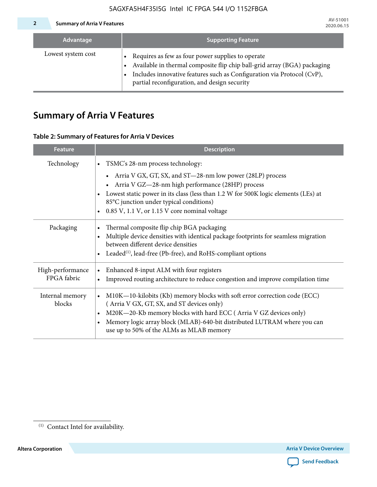#### **2 Summary of Arria V Features**

| Advantage          | <b>Supporting Feature</b>                                                                                                                                                                                                                                 |
|--------------------|-----------------------------------------------------------------------------------------------------------------------------------------------------------------------------------------------------------------------------------------------------------|
| Lowest system cost | Requires as few as four power supplies to operate<br>• Available in thermal composite flip chip ball-grid array (BGA) packaging<br>Includes innovative features such as Configuration via Protocol (CvP),<br>partial reconfiguration, and design security |

# **Summary of Arria V Features**

#### **Table 2: Summary of Features for Arria V Devices**

| <b>Feature</b>                  | <b>Description</b>                                                                                                                                                                                                                                                                                                                |
|---------------------------------|-----------------------------------------------------------------------------------------------------------------------------------------------------------------------------------------------------------------------------------------------------------------------------------------------------------------------------------|
| Technology                      | • TSMC's 28-nm process technology:                                                                                                                                                                                                                                                                                                |
|                                 | Arria V GX, GT, SX, and ST—28-nm low power (28LP) process<br>Arria V GZ-28-nm high performance (28HP) process<br>• Lowest static power in its class (less than 1.2 W for 500K logic elements (LEs) at<br>85°C junction under typical conditions)<br>$\bullet$ 0.85 V, 1.1 V, or 1.15 V core nominal voltage                       |
| Packaging                       | Thermal composite flip chip BGA packaging<br>$\bullet$<br>Multiple device densities with identical package footprints for seamless migration<br>between different device densities<br>• Leaded <sup>(1)</sup> , lead-free (Pb-free), and RoHS-compliant options                                                                   |
| High-performance<br>FPGA fabric | Enhanced 8-input ALM with four registers<br>$\bullet$<br>Improved routing architecture to reduce congestion and improve compilation time<br>$\bullet$                                                                                                                                                                             |
| Internal memory<br>blocks       | M10K-10-kilobits (Kb) memory blocks with soft error correction code (ECC)<br>$\bullet$<br>(Arria V GX, GT, SX, and ST devices only)<br>• M20K-20-Kb memory blocks with hard ECC (Arria V GZ devices only)<br>Memory logic array block (MLAB)-640-bit distributed LUTRAM where you can<br>use up to 50% of the ALMs as MLAB memory |



 $\overline{11}$  Contact Intel for availability.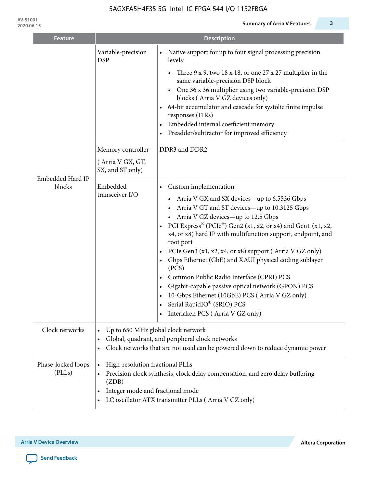| <b>Feature</b>               |                                                           | <b>Description</b>                                                                                                                                                                                                                                                                                                                                                                                                                                                                                                                                                                                                                                                                                                                                                |  |  |  |  |
|------------------------------|-----------------------------------------------------------|-------------------------------------------------------------------------------------------------------------------------------------------------------------------------------------------------------------------------------------------------------------------------------------------------------------------------------------------------------------------------------------------------------------------------------------------------------------------------------------------------------------------------------------------------------------------------------------------------------------------------------------------------------------------------------------------------------------------------------------------------------------------|--|--|--|--|
|                              | Variable-precision<br><b>DSP</b>                          | Native support for up to four signal processing precision<br>levels:<br>Three $9 \times 9$ , two 18 x 18, or one 27 x 27 multiplier in the<br>$\bullet$<br>same variable-precision DSP block<br>One 36 x 36 multiplier using two variable-precision DSP<br>$\bullet$<br>blocks (Arria V GZ devices only)<br>64-bit accumulator and cascade for systolic finite impulse<br>responses (FIRs)<br>Embedded internal coefficient memory<br>٠<br>Preadder/subtractor for improved efficiency<br>$\bullet$                                                                                                                                                                                                                                                               |  |  |  |  |
|                              | Memory controller<br>(Arria V GX, GT,<br>SX, and ST only) | DDR3 and DDR2                                                                                                                                                                                                                                                                                                                                                                                                                                                                                                                                                                                                                                                                                                                                                     |  |  |  |  |
| Embedded Hard IP<br>blocks   | Embedded<br>transceiver I/O                               | Custom implementation:<br>$\bullet$<br>Arria V GX and SX devices-up to 6.5536 Gbps<br>Arria V GT and ST devices-up to 10.3125 Gbps<br>Arria V GZ devices-up to 12.5 Gbps<br>PCI Express <sup>®</sup> (PCIe <sup>®</sup> ) Gen2 (x1, x2, or x4) and Gen1 (x1, x2,<br>x4, or x8) hard IP with multifunction support, endpoint, and<br>root port<br>PCIe Gen3 (x1, x2, x4, or x8) support (Arria V GZ only)<br>$\bullet$<br>Gbps Ethernet (GbE) and XAUI physical coding sublayer<br>$\bullet$<br>(PCS)<br>Common Public Radio Interface (CPRI) PCS<br>$\bullet$<br>Gigabit-capable passive optical network (GPON) PCS<br>$\bullet$<br>10-Gbps Ethernet (10GbE) PCS (Arria V GZ only)<br>Serial RapidIO® (SRIO) PCS<br>$\bullet$<br>Interlaken PCS (Arria V GZ only) |  |  |  |  |
| Clock networks               | $\bullet$                                                 | Up to 650 MHz global clock network<br>Global, quadrant, and peripheral clock networks<br>Clock networks that are not used can be powered down to reduce dynamic power                                                                                                                                                                                                                                                                                                                                                                                                                                                                                                                                                                                             |  |  |  |  |
| Phase-locked loops<br>(PLLs) | High-resolution fractional PLLs<br>(ZDB)<br>$\bullet$     | Precision clock synthesis, clock delay compensation, and zero delay buffering<br>Integer mode and fractional mode<br>LC oscillator ATX transmitter PLLs (Arria V GZ only)                                                                                                                                                                                                                                                                                                                                                                                                                                                                                                                                                                                         |  |  |  |  |

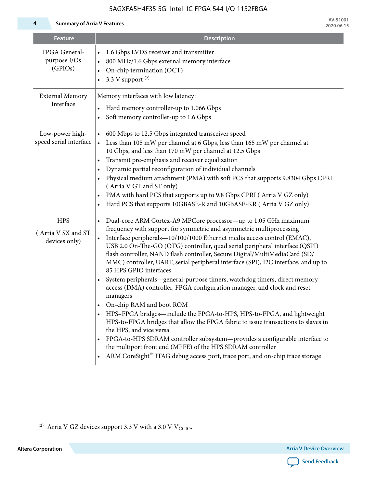**4 Summary of Arria V Features**

| <b>Feature</b>                                     | <b>Description</b>                                                                                                                                                                                                                                                                                                                                                                                                                                                                                                                                                                                                                                                                                                                                                                                                                                                                                                                                                                                                                                                                                                      |
|----------------------------------------------------|-------------------------------------------------------------------------------------------------------------------------------------------------------------------------------------------------------------------------------------------------------------------------------------------------------------------------------------------------------------------------------------------------------------------------------------------------------------------------------------------------------------------------------------------------------------------------------------------------------------------------------------------------------------------------------------------------------------------------------------------------------------------------------------------------------------------------------------------------------------------------------------------------------------------------------------------------------------------------------------------------------------------------------------------------------------------------------------------------------------------------|
| FPGA General-<br>purpose I/Os<br>(GPIOs)           | 1.6 Gbps LVDS receiver and transmitter<br>800 MHz/1.6 Gbps external memory interface<br>On-chip termination (OCT)<br>3.3 V support $(2)$                                                                                                                                                                                                                                                                                                                                                                                                                                                                                                                                                                                                                                                                                                                                                                                                                                                                                                                                                                                |
| <b>External Memory</b><br>Interface                | Memory interfaces with low latency:<br>Hard memory controller-up to 1.066 Gbps<br>Soft memory controller-up to 1.6 Gbps                                                                                                                                                                                                                                                                                                                                                                                                                                                                                                                                                                                                                                                                                                                                                                                                                                                                                                                                                                                                 |
| Low-power high-<br>speed serial interface          | 600 Mbps to 12.5 Gbps integrated transceiver speed<br>Less than 105 mW per channel at 6 Gbps, less than 165 mW per channel at<br>$\bullet$<br>10 Gbps, and less than 170 mW per channel at 12.5 Gbps<br>Transmit pre-emphasis and receiver equalization<br>$\bullet$<br>Dynamic partial reconfiguration of individual channels<br>Physical medium attachment (PMA) with soft PCS that supports 9.8304 Gbps CPRI<br>(Arria V GT and ST only)<br>PMA with hard PCS that supports up to 9.8 Gbps CPRI (Arria V GZ only)<br>Hard PCS that supports 10GBASE-R and 10GBASE-KR (Arria V GZ only)                                                                                                                                                                                                                                                                                                                                                                                                                                                                                                                               |
| <b>HPS</b><br>(Arria V SX and ST)<br>devices only) | Dual-core ARM Cortex-A9 MPCore processor—up to 1.05 GHz maximum<br>frequency with support for symmetric and asymmetric multiprocessing<br>Interface peripherals-10/100/1000 Ethernet media access control (EMAC),<br>USB 2.0 On-The-GO (OTG) controller, quad serial peripheral interface (QSPI)<br>flash controller, NAND flash controller, Secure Digital/MultiMediaCard (SD/<br>MMC) controller, UART, serial peripheral interface (SPI), I2C interface, and up to<br>85 HPS GPIO interfaces<br>System peripherals—general-purpose timers, watchdog timers, direct memory<br>access (DMA) controller, FPGA configuration manager, and clock and reset<br>managers<br>On-chip RAM and boot ROM<br>HPS-FPGA bridges—include the FPGA-to-HPS, HPS-to-FPGA, and lightweight<br>HPS-to-FPGA bridges that allow the FPGA fabric to issue transactions to slaves in<br>the HPS, and vice versa<br>FPGA-to-HPS SDRAM controller subsystem-provides a configurable interface to<br>the multiport front end (MPFE) of the HPS SDRAM controller<br>ARM CoreSight™ JTAG debug access port, trace port, and on-chip trace storage |



 $^{(2)}\,$  Arria V GZ devices support 3.3 V with a 3.0 V V $_{\rm CCIO}$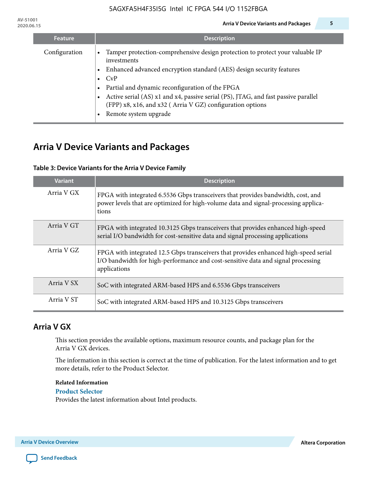**AV-51001**

| <b>Feature</b> | <b>Description</b>                                                                                                                                                                                                                                                                                                                                                                                                   |
|----------------|----------------------------------------------------------------------------------------------------------------------------------------------------------------------------------------------------------------------------------------------------------------------------------------------------------------------------------------------------------------------------------------------------------------------|
| Configuration  | Tamper protection-comprehensive design protection to protect your valuable IP<br>investments<br>Enhanced advanced encryption standard (AES) design security features<br>$\bullet$ CyP<br>Partial and dynamic reconfiguration of the FPGA<br>Active serial (AS) x1 and x4, passive serial (PS), JTAG, and fast passive parallel<br>(FPP) x8, x16, and x32 (Arria V GZ) configuration options<br>Remote system upgrade |

# **Arria V Device Variants and Packages**

### **Table 3: Device Variants for the Arria V Device Family**

| <b>Variant</b> | <b>Description</b>                                                                                                                                                                       |
|----------------|------------------------------------------------------------------------------------------------------------------------------------------------------------------------------------------|
| Arria V GX     | FPGA with integrated 6.5536 Gbps transceivers that provides bandwidth, cost, and<br>power levels that are optimized for high-volume data and signal-processing applica-<br>tions         |
| Arria V GT     | FPGA with integrated 10.3125 Gbps transceivers that provides enhanced high-speed<br>serial I/O bandwidth for cost-sensitive data and signal processing applications                      |
| Arria V GZ     | FPGA with integrated 12.5 Gbps transceivers that provides enhanced high-speed serial<br>I/O bandwidth for high-performance and cost-sensitive data and signal processing<br>applications |
| Arria V SX     | SoC with integrated ARM-based HPS and 6.5536 Gbps transceivers                                                                                                                           |
| Arria V ST     | SoC with integrated ARM-based HPS and 10.3125 Gbps transceivers                                                                                                                          |

# **Arria V GX**

This section provides the available options, maximum resource counts, and package plan for the Arria V GX devices.

The information in this section is correct at the time of publication. For the latest information and to get more details, refer to the Product Selector.

#### **Related Information**

#### **[Product Selector](http://wl.altera.com/products/selector/psg-selector.html#)**

Provides the latest information about Intel products.

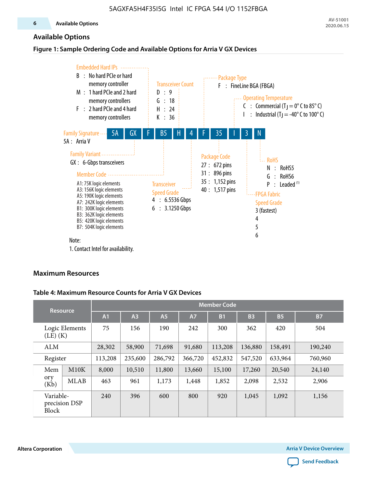#### **Available Options**

#### **Figure 1: Sample Ordering Code and Available Options for Arria V GX Devices**



1. Contact Intel for availability.

#### **Maximum Resources**

#### **Table 4: Maximum Resource Counts for Arria V GX Devices**

| <b>Resource</b>           |                |                | <b>Member Code</b> |           |         |                |           |                       |           |
|---------------------------|----------------|----------------|--------------------|-----------|---------|----------------|-----------|-----------------------|-----------|
|                           |                | A <sub>1</sub> | A <sub>3</sub>     | <b>A5</b> | A7      | B <sub>1</sub> | <b>B3</b> | <b>B</b> <sub>5</sub> | <b>B7</b> |
| $(LE)$ $(K)$              | Logic Elements | 75             | 156                | 190       | 242     | 300            | 362       | 420                   | 504       |
| <b>ALM</b>                |                | 28,302         | 58,900             | 71,698    | 91,680  | 113,208        | 136,880   | 158,491               | 190,240   |
| Register                  |                | 113,208        | 235,600            | 286,792   | 366,720 | 452,832        | 547,520   | 633,964               | 760,960   |
| Mem                       | M10K           | 8,000          | 10,510             | 11,800    | 13,660  | 15,100         | 17,260    | 20,540                | 24,140    |
| ory<br>(Kb)               | <b>MLAB</b>    | 463            | 961                | 1,173     | 1,448   | 1,852          | 2,098     | 2,532                 | 2,906     |
| Variable-<br><b>Block</b> | precision DSP  | 240            | 396                | 600       | 800     | 920            | 1,045     | 1,092                 | 1,156     |

**Altera Corporation Arria V Device Overview**

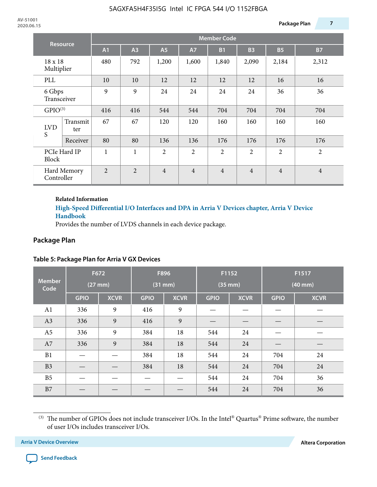| Resource              |                 | <b>Member Code</b>                     |                |                |                |                |                |                |                |
|-----------------------|-----------------|----------------------------------------|----------------|----------------|----------------|----------------|----------------|----------------|----------------|
|                       |                 | A1                                     | A3             | <b>A5</b>      | <b>A7</b>      | <b>B1</b>      | <b>B3</b>      | <b>B5</b>      | <b>B7</b>      |
| 18 x 18<br>Multiplier |                 | 480                                    | 792            | 1,200          | 1,600          | 1,840          | 2,090          | 2,184          | 2,312          |
| PLL                   |                 | 10<br>10<br>12<br>12<br>16<br>12<br>12 |                |                |                |                | 16             |                |                |
| 6 Gbps<br>Transceiver |                 | 9                                      | 9              | 24             | 24             | 24             | 24             | 36             | 36             |
| GPIO <sup>(3)</sup>   |                 | 416                                    | 416            | 544            | 544            | 704            | 704            | 704            | 704            |
| <b>LVD</b><br>S       | Transmit<br>ter | 67                                     | 67             | 120            | 120            | 160            | 160            | 160            | 160            |
|                       | Receiver        | 80                                     | 80             | 136            | 136            | 176            | 176            | 176            | 176            |
| <b>Block</b>          | PCIe Hard IP    | 1                                      | $\mathbf{1}$   | 2              | $\overline{2}$ | $\overline{2}$ | $\overline{2}$ | $\overline{2}$ | $\overline{2}$ |
| Controller            | Hard Memory     | $\overline{2}$                         | $\overline{2}$ | $\overline{4}$ | $\overline{4}$ | $\overline{4}$ | $\overline{4}$ | $\overline{4}$ | $\overline{4}$ |

#### **Related Information**

### **[High-Speed Differential I/O Interfaces and DPA in Arria V Devices chapter, Arria V Device](https://documentation.altera.com/#/link/sam1403480004852/sam1403479756045/en-us) [Handbook](https://documentation.altera.com/#/link/sam1403480004852/sam1403479756045/en-us)**

Provides the number of LVDS channels in each device package.

# **Package Plan**

|                       | F672         |             | F896        |             | F1152        |             | F1517        |             |
|-----------------------|--------------|-------------|-------------|-------------|--------------|-------------|--------------|-------------|
| <b>Member</b><br>Code | $(27$ mm $)$ |             | $(31$ mm)   |             | $(35$ mm $)$ |             | $(40$ mm $)$ |             |
|                       | <b>GPIO</b>  | <b>XCVR</b> | <b>GPIO</b> | <b>XCVR</b> | <b>GPIO</b>  | <b>XCVR</b> | <b>GPIO</b>  | <b>XCVR</b> |
| A1                    | 336          | 9           | 416         | 9           |              |             |              |             |
| A3                    | 336          | 9           | 416         | 9           |              |             |              |             |
| A <sub>5</sub>        | 336          | 9           | 384         | 18          | 544          | 24          |              |             |
| A7                    | 336          | 9           | 384         | 18          | 544          | 24          |              |             |
| B1                    |              |             | 384         | 18          | 544          | 24          | 704          | 24          |
| B <sub>3</sub>        |              |             | 384         | 18          | 544          | 24          | 704          | 24          |
| B <sub>5</sub>        |              |             |             |             | 544          | 24          | 704          | 36          |
| B7                    |              |             |             |             | 544          | 24          | 704          | 36          |

### **Table 5: Package Plan for Arria V GX Devices**



<sup>(3)</sup> The number of GPIOs does not include transceiver I/Os. In the Intel® Quartus® Prime software, the number of user I/Os includes transceiver I/Os.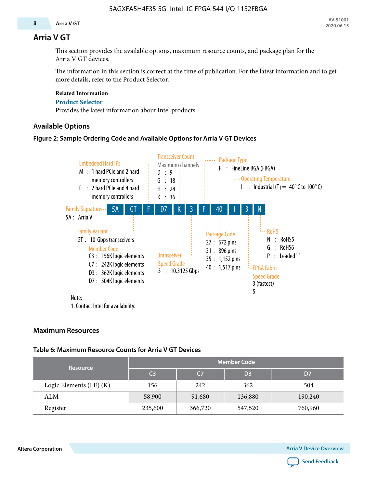#### **8 Arria V GT**

### **Arria V GT**

This section provides the available options, maximum resource counts, and package plan for the Arria V GT devices.

The information in this section is correct at the time of publication. For the latest information and to get more details, refer to the Product Selector.

#### **Related Information**

#### **[Product Selector](http://wl.altera.com/products/selector/psg-selector.html#)**

Provides the latest information about Intel products.

#### **Available Options**

#### **Figure 2: Sample Ordering Code and Available Options for Arria V GT Devices**



1. Contact Intel for availability.

#### **Maximum Resources**

#### **Table 6: Maximum Resource Counts for Arria V GT Devices**

| <b>Resource</b>         | <b>Member Code</b> |                |                |         |  |  |  |
|-------------------------|--------------------|----------------|----------------|---------|--|--|--|
|                         | C <sub>3</sub>     | C <sub>7</sub> | D <sub>3</sub> | D7      |  |  |  |
| Logic Elements (LE) (K) | 156                | 242            | 362            | 504     |  |  |  |
| ALM                     | 58,900             | 91,680         | 136,880        | 190,240 |  |  |  |
| Register                | 235,600            | 366,720        | 547,520        | 760,960 |  |  |  |

**Altera Corporation Arria V Device Overview**

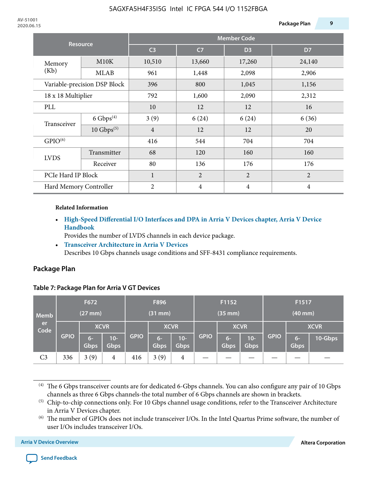| <b>Resource</b>        |                                       | <b>Member Code</b> |                |                |                |  |  |  |
|------------------------|---------------------------------------|--------------------|----------------|----------------|----------------|--|--|--|
|                        |                                       | C <sub>3</sub>     | C <sub>7</sub> | D <sub>3</sub> | D7             |  |  |  |
| Memory                 | M10K                                  | 10,510             | 13,660         | 17,260         | 24,140         |  |  |  |
| (Kb)                   | MLAB                                  | 961                | 1,448          | 2,098          | 2,906          |  |  |  |
|                        | Variable-precision DSP Block          |                    | 800            | 1,045          | 1,156          |  |  |  |
| 18 x 18 Multiplier     |                                       | 792                | 1,600          | 2,090          | 2,312          |  |  |  |
| PLL                    |                                       | 10                 | 12             | 12             | 16             |  |  |  |
| Transceiver            | $6 \text{ Gbps}^{(4)}$                | 3(9)               | 6(24)          | 6(24)          | 6(36)          |  |  |  |
|                        | $10$ Gbps <sup><math>(5)</math></sup> | $\overline{4}$     | 12             | 12             | 20             |  |  |  |
| GPIO <sup>(6)</sup>    |                                       | 416                | 544            | 704            | 704            |  |  |  |
| <b>LVDS</b>            | Transmitter                           | 68                 | 120            | 160            | 160            |  |  |  |
|                        | Receiver                              | 80                 | 136            | 176            | 176            |  |  |  |
| PCIe Hard IP Block     |                                       | $\mathbf{1}$       | $\overline{2}$ | $\overline{2}$ | $\overline{2}$ |  |  |  |
| Hard Memory Controller |                                       | $\overline{2}$     | $\overline{4}$ | 4              | $\overline{4}$ |  |  |  |

#### **Related Information**

• **[High-Speed Differential I/O Interfaces and DPA in Arria V Devices chapter, Arria V Device](https://documentation.altera.com/#/link/sam1403480004852/sam1403479756045/en-us) [Handbook](https://documentation.altera.com/#/link/sam1403480004852/sam1403479756045/en-us)**

Provides the number of LVDS channels in each device package.

• **[Transceiver Architecture in Arria V Devices](https://documentation.altera.com/#/link/nik1409873038917/nik1409872109898/en-us)** Describes 10 Gbps channels usage conditions and SFF-8431 compliance requirements.

#### **Package Plan**

#### **Table 7: Package Plan for Arria V GT Devices**

| <b>Memb</b>    | F672<br>$(27$ mm $)$ |                     |                      | F896<br>$(31$ mm $)$ |              |                      | F1152<br>$(35$ mm $)$ |              |                      | F1517<br>$(40$ mm $)$ |              |         |
|----------------|----------------------|---------------------|----------------------|----------------------|--------------|----------------------|-----------------------|--------------|----------------------|-----------------------|--------------|---------|
| er<br>Code     | <b>GPIO</b>          | <b>XCVR</b>         |                      |                      | <b>XCVR</b>  |                      |                       | <b>XCVR</b>  |                      |                       | <b>XCVR</b>  |         |
|                |                      | $6-$<br><b>Gbps</b> | $10-$<br><b>Gbps</b> | <b>GPIO</b>          | $6-$<br>Gbps | $10-$<br><b>Gbps</b> | <b>GPIO</b>           | $6-$<br>Gbps | $10-$<br><b>Gbps</b> | <b>GPIO</b>           | $6-$<br>Gbps | 10-Gbps |
| C <sub>3</sub> | 336                  | 3(9)                | 4                    | 416                  | 3(9)         | 4                    |                       |              |                      |                       |              |         |

(4) The 6 Gbps transceiver counts are for dedicated 6-Gbps channels. You can also configure any pair of 10 Gbps channels as three 6 Gbps channels-the total number of 6 Gbps channels are shown in brackets.



<sup>(5)</sup> Chip-to-chip connections only. For 10 Gbps channel usage conditions, refer to the Transceiver Architecture in Arria V Devices chapter.

<sup>(6)</sup> The number of GPIOs does not include transceiver I/Os. In the Intel Quartus Prime software, the number of user I/Os includes transceiver I/Os.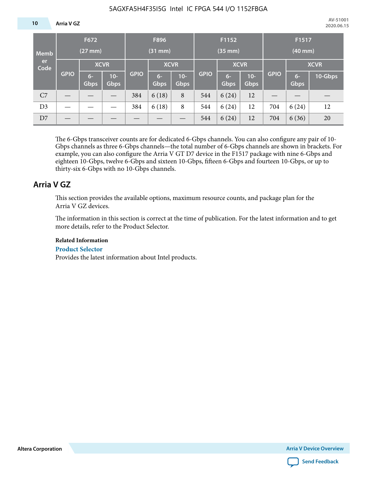#### **10 Arria V GZ**

| Memb<br>er<br>Code | F672<br>$(27$ mm $)$ |                     |               | F896<br>$(31$ mm $)$ |               |                       | F1152<br>$(35$ mm $)$ |              |               | F1517<br>$(40$ mm $)$ |              |         |  |
|--------------------|----------------------|---------------------|---------------|----------------------|---------------|-----------------------|-----------------------|--------------|---------------|-----------------------|--------------|---------|--|
|                    | <b>GPIO</b>          | <b>XCVR</b>         |               |                      | <b>XCVR</b>   |                       |                       | <b>XCVR</b>  |               |                       | <b>XCVR</b>  |         |  |
|                    |                      | $6-$<br><b>Gbps</b> | $10-$<br>Gbps | <b>GPIO</b>          | $6 -$<br>Gbps | $10 -$<br><b>Gbps</b> | <b>GPIO</b>           | $6-$<br>Gbps | $10-$<br>Gbps | <b>GPIO</b>           | $6-$<br>Gbps | 10-Gbps |  |
| C7                 |                      |                     |               | 384                  | 6(18)         | 8                     | 544                   | 6(24)        | 12            |                       |              |         |  |
| D <sub>3</sub>     |                      |                     |               | 384                  | 6(18)         | 8                     | 544                   | 6(24)        | 12            | 704                   | 6(24)        | 12      |  |
| D7                 |                      |                     |               |                      |               |                       | 544                   | 6(24)        | 12            | 704                   | 6(36)        | 20      |  |

The 6-Gbps transceiver counts are for dedicated 6-Gbps channels. You can also configure any pair of 10- Gbps channels as three 6-Gbps channels—the total number of 6-Gbps channels are shown in brackets. For example, you can also configure the Arria V GT D7 device in the F1517 package with nine 6-Gbps and eighteen 10-Gbps, twelve 6-Gbps and sixteen 10-Gbps, fifteen 6-Gbps and fourteen 10-Gbps, or up to thirty-six 6-Gbps with no 10-Gbps channels.

### **Arria V GZ**

This section provides the available options, maximum resource counts, and package plan for the Arria V GZ devices.

The information in this section is correct at the time of publication. For the latest information and to get more details, refer to the Product Selector.

#### **Related Information**

#### **[Product Selector](http://wl.altera.com/products/selector/psg-selector.html#)**

Provides the latest information about Intel products.

**Altera Corporation Arria V Device Overview**

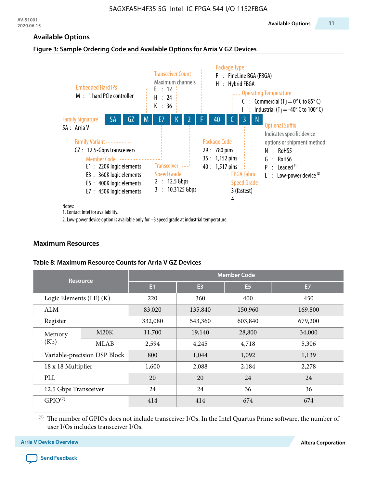#### **Available Options**

#### **Figure 3: Sample Ordering Code and Available Options for Arria V GZ Devices**



Notes:

1. Contact Intel for availability.

2. Low-power device option is available only for –3 speed grade at industrial temperature.

#### **Maximum Resources**

#### **Table 8: Maximum Resource Counts for Arria V GZ Devices**

|                             | <b>Resource</b>              |        |                | <b>Member Code</b> |                |
|-----------------------------|------------------------------|--------|----------------|--------------------|----------------|
|                             |                              | E1     | E <sub>3</sub> | E <sub>5</sub>     | E <sub>7</sub> |
| Logic Elements $(LE)$ $(K)$ |                              | 220    | 360            | 400                | 450            |
| ALM                         |                              | 83,020 | 135,840        | 150,960            | 169,800        |
| Register                    |                              |        | 543,360        | 603,840            | 679,200        |
| Memory                      | M20K                         | 11,700 | 19,140         | 28,800             | 34,000         |
| (Kb)                        | MLAB                         | 2,594  | 4,245          | 4,718              | 5,306          |
|                             | Variable-precision DSP Block | 800    | 1,044          | 1,092              | 1,139          |
| 18 x 18 Multiplier          |                              | 1,600  | 2,088          | 2,184              | 2,278          |
| PLL                         |                              | 20     | 20             | 24                 | 24             |
| 12.5 Gbps Transceiver       |                              | 24     | 24             | 36                 | 36             |
| GPIO <sup>(7)</sup>         |                              | 414    | 414            | 674                | 674            |

(7) The number of GPIOs does not include transceiver I/Os. In the Intel Quartus Prime software, the number of user I/Os includes transceiver I/Os.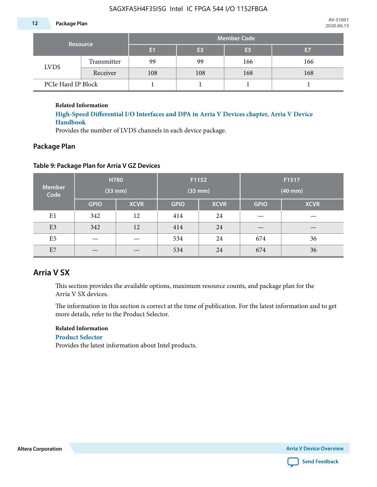#### **12 Package Plan**

| <b>Resource</b>    |             | <b>Member Code</b> |                |                |     |  |  |  |  |  |
|--------------------|-------------|--------------------|----------------|----------------|-----|--|--|--|--|--|
|                    |             | E1                 | E <sub>3</sub> | E <sub>5</sub> | E7  |  |  |  |  |  |
| <b>LVDS</b>        | Transmitter | 99                 | 99             | 166            | 166 |  |  |  |  |  |
|                    | Receiver    | 108                | 108            | 168            | 168 |  |  |  |  |  |
| PCIe Hard IP Block |             |                    |                |                |     |  |  |  |  |  |

**Related Information**

**[High-Speed Differential I/O Interfaces and DPA in Arria V Devices chapter, Arria V Device](https://documentation.altera.com/#/link/sam1403480004852/sam1403479756045/en-us) [Handbook](https://documentation.altera.com/#/link/sam1403480004852/sam1403479756045/en-us)**

Provides the number of LVDS channels in each device package.

#### **Package Plan**

#### **Table 9: Package Plan for Arria V GZ Devices**

| <b>Member</b><br>Code |             | H780<br>(33 mm) | F1152<br>$(35$ mm $)$ |             | F1517<br>$(40$ mm $)$ |             |  |  |
|-----------------------|-------------|-----------------|-----------------------|-------------|-----------------------|-------------|--|--|
|                       | <b>GPIO</b> | <b>XCVR</b>     | <b>GPIO</b>           | <b>XCVR</b> | <b>GPIO</b>           | <b>XCVR</b> |  |  |
| E1                    | 342<br>12   |                 | 414                   | 24          |                       |             |  |  |
| E <sub>3</sub>        | 342         | 12              | 24<br>414             |             |                       |             |  |  |
| E <sub>5</sub>        |             |                 | 534<br>24             |             | 674                   | 36          |  |  |
| E7                    |             |                 | 534<br>24             |             | 674                   | 36          |  |  |

# **Arria V SX**

This section provides the available options, maximum resource counts, and package plan for the Arria V SX devices.

The information in this section is correct at the time of publication. For the latest information and to get more details, refer to the Product Selector.

#### **Related Information**

#### **[Product Selector](http://wl.altera.com/products/selector/psg-selector.html#)**

Provides the latest information about Intel products.

**Altera Corporation Arria V Device Overview**

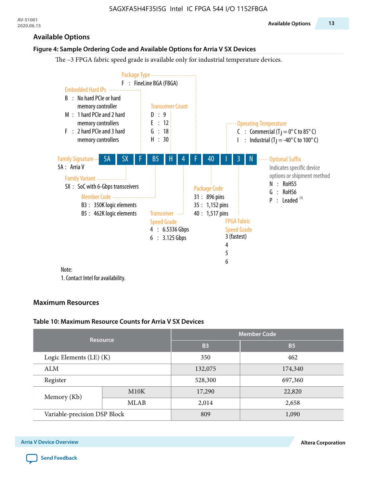#### **Available Options**

#### **Figure 4: Sample Ordering Code and Available Options for Arria V SX Devices**

The –3 FPGA fabric speed grade is available only for industrial temperature devices.



1. Contact Intel for availability.

#### **Maximum Resources**

#### **Table 10: Maximum Resource Counts for Arria V SX Devices**

|                              | <b>Resource</b> | <b>Member Code</b> |           |  |  |  |  |
|------------------------------|-----------------|--------------------|-----------|--|--|--|--|
|                              |                 | <b>B3</b>          | <b>B5</b> |  |  |  |  |
| Logic Elements (LE) (K)      |                 | 350                | 462       |  |  |  |  |
| <b>ALM</b>                   |                 | 132,075            | 174,340   |  |  |  |  |
| Register                     |                 | 528,300            | 697,360   |  |  |  |  |
| Memory (Kb)                  | M10K            | 17,290             | 22,820    |  |  |  |  |
|                              | MLAB            | 2,014              | 2,658     |  |  |  |  |
| Variable-precision DSP Block |                 | 809                | 1,090     |  |  |  |  |

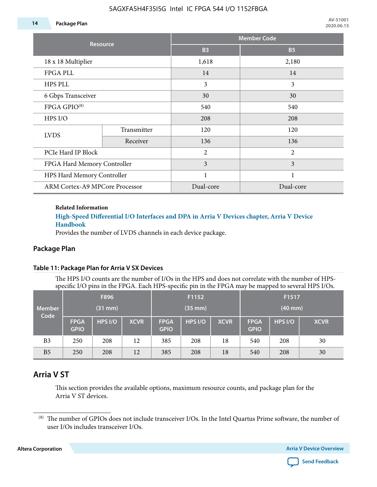#### **14 Package Plan**

|                                |                 |                | <b>Member Code</b> |
|--------------------------------|-----------------|----------------|--------------------|
|                                | <b>Resource</b> | <b>B3</b>      | <b>B5</b>          |
| 18 x 18 Multiplier             |                 | 1,618          | 2,180              |
| <b>FPGA PLL</b>                |                 | 14             | 14                 |
| HPS PLL                        |                 | 3              | 3                  |
| 6 Gbps Transceiver             |                 | 30             | 30                 |
| FPGA GPIO <sup>(8)</sup>       |                 | 540            | 540                |
| HPS I/O                        |                 | 208            | 208                |
| <b>LVDS</b>                    | Transmitter     | 120            | 120                |
|                                | Receiver        | 136            | 136                |
| PCIe Hard IP Block             |                 | $\overline{2}$ | $\overline{2}$     |
| FPGA Hard Memory Controller    |                 | 3              | 3                  |
| HPS Hard Memory Controller     |                 | 1              | $\mathbf{1}$       |
| ARM Cortex-A9 MPCore Processor |                 | Dual-core      | Dual-core          |

#### **Related Information**

#### **[High-Speed Differential I/O Interfaces and DPA in Arria V Devices chapter, Arria V Device](https://documentation.altera.com/#/link/sam1403480004852/sam1403479756045/en-us) [Handbook](https://documentation.altera.com/#/link/sam1403480004852/sam1403479756045/en-us)**

Provides the number of LVDS channels in each device package.

#### **Package Plan**

#### **Table 11: Package Plan for Arria V SX Devices**

The HPS I/O counts are the number of I/Os in the HPS and does not correlate with the number of HPSspecific I/O pins in the FPGA. Each HPS-specific pin in the FPGA may be mapped to several HPS I/Os.

|                       |                            | F896    |             |                            | F1152        |             | F1517                      |         |             |  |
|-----------------------|----------------------------|---------|-------------|----------------------------|--------------|-------------|----------------------------|---------|-------------|--|
| <b>Member</b><br>Code |                            | (31 mm) |             |                            | $(35$ mm $)$ |             | $(40$ mm $)$               |         |             |  |
|                       | <b>FPGA</b><br><b>GPIO</b> | HPS I/O | <b>XCVR</b> | <b>FPGA</b><br><b>GPIO</b> | HPS I/O      | <b>XCVR</b> | <b>FPGA</b><br><b>GPIO</b> | HPS I/O | <b>XCVR</b> |  |
| B <sub>3</sub>        | 250                        | 208     | 12          | 385                        | 208          | 18          | 540                        | 208     | 30          |  |
| B <sub>5</sub>        | 250                        | 208     | 12          | 385                        | 208          | 18          | 540                        | 208     | 30          |  |

# **Arria V ST**

This section provides the available options, maximum resource counts, and package plan for the Arria V ST devices.

**Altera Corporation Arria V Device Overview**



<sup>(8)</sup> The number of GPIOs does not include transceiver I/Os. In the Intel Quartus Prime software, the number of user I/Os includes transceiver I/Os.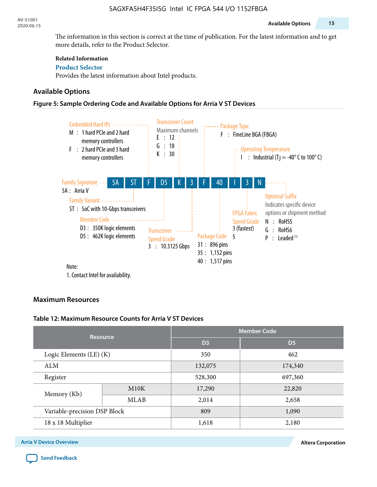The information in this section is correct at the time of publication. For the latest information and to get more details, refer to the Product Selector.

#### **Related Information**

**[Product Selector](http://wl.altera.com/products/selector/psg-selector.html#)** Provides the latest information about Intel products.

#### **Available Options**

#### **Figure 5: Sample Ordering Code and Available Options for Arria V ST Devices**



#### **Maximum Resources**

#### **Table 12: Maximum Resource Counts for Arria V ST Devices**

|                              | <b>Resource</b> | <b>Member Code</b> |                |  |  |  |  |
|------------------------------|-----------------|--------------------|----------------|--|--|--|--|
|                              |                 | D <sub>3</sub>     | D <sub>5</sub> |  |  |  |  |
| Logic Elements (LE) (K)      |                 | 350                | 462            |  |  |  |  |
| ALM                          |                 | 132,075            | 174,340        |  |  |  |  |
| Register                     |                 | 528,300            | 697,360        |  |  |  |  |
| Memory (Kb)                  | M10K            | 17,290             | 22,820         |  |  |  |  |
|                              | <b>MLAB</b>     | 2,014              | 2,658          |  |  |  |  |
| Variable-precision DSP Block |                 | 809                | 1,090          |  |  |  |  |
| 18 x 18 Multiplier           |                 | 1,618              | 2,180          |  |  |  |  |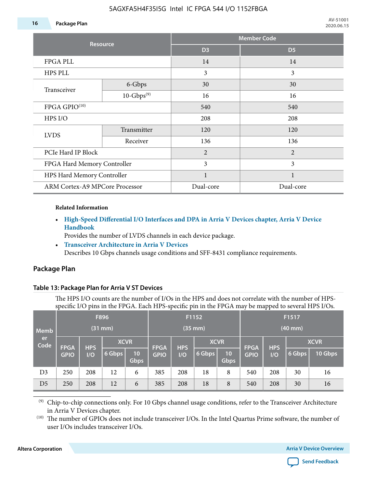#### **16 Package Plan**

|                                       | <b>Resource</b> |                       | <b>Member Code</b> |
|---------------------------------------|-----------------|-----------------------|--------------------|
|                                       |                 | D <sub>3</sub>        | D <sub>5</sub>     |
| <b>FPGA PLL</b>                       |                 | 14                    | 14                 |
| HPS PLL                               |                 | 3                     | 3                  |
| Transceiver                           | 6-Gbps          | 30                    | 30                 |
|                                       | $10-Gbps^{(9)}$ | 16                    | 16                 |
| FPGA GPIO <sup>(10)</sup>             |                 | 540                   | 540                |
| HPS I/O                               |                 | 208                   | 208                |
| <b>LVDS</b>                           | Transmitter     | 120                   | 120                |
|                                       | Receiver        | 136<br>$\overline{2}$ | 136                |
| PCIe Hard IP Block                    |                 |                       | $\overline{2}$     |
| FPGA Hard Memory Controller           |                 | 3                     | 3                  |
| HPS Hard Memory Controller            |                 | 1                     |                    |
| <b>ARM Cortex-A9 MPCore Processor</b> |                 | Dual-core             | Dual-core          |

#### **Related Information**

• **[High-Speed Differential I/O Interfaces and DPA in Arria V Devices chapter, Arria V Device](https://documentation.altera.com/#/link/sam1403480004852/sam1403479756045/en-us) [Handbook](https://documentation.altera.com/#/link/sam1403480004852/sam1403479756045/en-us)**

Provides the number of LVDS channels in each device package.

• **[Transceiver Architecture in Arria V Devices](https://documentation.altera.com/#/link/nik1409873038917/nik1409872109898/en-us)** Describes 10 Gbps channels usage conditions and SFF-8431 compliance requirements.

### **Package Plan**

#### **Table 13: Package Plan for Arria V ST Devices**

The HPS I/O counts are the number of I/Os in the HPS and does not correlate with the number of HPSspecific I/O pins in the FPGA. Each HPS-specific pin in the FPGA may be mapped to several HPS I/Os.

| <b>Memb</b><br>er<br>Code |                            |                   | F896<br>(31 mm)       |            |                            |                   | F1152<br>$(35$ mm $)$ |                         | F1517<br>$(40$ mm $)$      |                   |        |                        |
|---------------------------|----------------------------|-------------------|-----------------------|------------|----------------------------|-------------------|-----------------------|-------------------------|----------------------------|-------------------|--------|------------------------|
|                           | <b>FPGA</b><br><b>GPIO</b> | <b>HPS</b><br>I/O | <b>XCVR</b><br>6 Gbps | 10<br>Gbps | <b>FPGA</b><br><b>GPIO</b> | <b>HPS</b><br>I/O | <b>XCVR</b><br>6 Gbps | 10 <sup>°</sup><br>Gbps | <b>FPGA</b><br><b>GPIO</b> | <b>HPS</b><br>I/O | 6 Gbps | <b>XCVR</b><br>10 Gbps |
| D <sub>3</sub>            | 250                        | 208               | 12                    | 6          | 385                        | 208               | 18                    | 8                       | 540                        | 208               | 30     | 16                     |
| D <sub>5</sub>            | 250                        | 208               | 12                    | 6          | 385                        | 208               | 18                    | 8                       | 540                        | 208               | 30     | 16                     |

(9) Chip-to-chip connections only. For 10 Gbps channel usage conditions, refer to the Transceiver Architecture in Arria V Devices chapter.

(10) The number of GPIOs does not include transceiver I/Os. In the Intel Quartus Prime software, the number of user I/Os includes transceiver I/Os.

**Altera Corporation Arria V Device Overview**

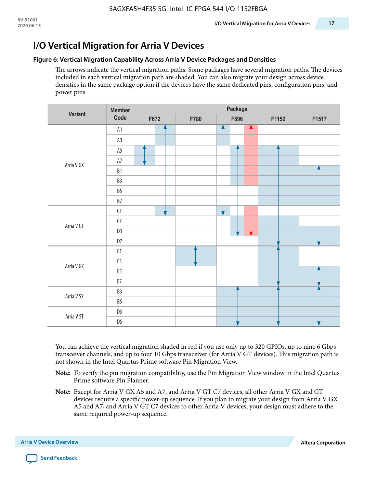### **Figure 6: Vertical Migration Capability Across Arria V Device Packages and Densities**

The arrows indicate the vertical migration paths. Some packages have several migration paths. The devices included in each vertical migration path are shaded. You can also migrate your design across device densities in the same package option if the devices have the same dedicated pins, configuration pins, and power pins.

|                | <b>Member</b>  |      |      |   | Package |  |       |       |
|----------------|----------------|------|------|---|---------|--|-------|-------|
| <b>Variant</b> | Code           | F672 | F780 |   | F896    |  | F1152 | F1517 |
|                | A1             |      |      | 4 |         |  |       |       |
|                | A3             |      |      |   |         |  |       |       |
|                | A5             |      |      |   |         |  |       |       |
| Arria V GX     | $\mathsf{A}7$  |      |      |   |         |  |       |       |
|                | ${\sf B1}$     |      |      |   |         |  |       |       |
|                | B3             |      |      |   |         |  |       |       |
|                | $B5\,$         |      |      |   |         |  |       |       |
|                | $\mathsf{B7}$  |      |      |   |         |  |       |       |
|                | C <sub>3</sub> |      |      | v |         |  |       |       |
| Arria V GT     | ${\sf C7}$     |      |      |   |         |  |       |       |
|                | D <sub>3</sub> |      |      |   |         |  |       |       |
|                | $D7$           |      |      |   |         |  |       |       |
|                | E1             |      |      |   |         |  |       |       |
| Arria V GZ     | E3             |      |      |   |         |  |       |       |
|                | E5             |      |      |   |         |  |       |       |
|                | ${\sf E7}$     |      |      |   |         |  |       |       |
| Arria V SX     | B3             |      |      |   |         |  |       |       |
|                | $B5\,$         |      |      |   |         |  |       |       |
| Arria V ST     | D <sub>3</sub> |      |      |   |         |  |       |       |
|                | D <sub>5</sub> |      |      |   | v       |  |       |       |

You can achieve the vertical migration shaded in red if you use only up to 320 GPIOs, up to nine 6 Gbps transceiver channels, and up to four 10 Gbps transceiver (for Arria V GT devices). This migration path is not shown in the Intel Quartus Prime software Pin Migration View.

- **Note:** To verify the pin migration compatibility, use the Pin Migration View window in the Intel Quartus Prime software Pin Planner.
- **Note:** Except for Arria V GX A5 and A7, and Arria V GT C7 devices, all other Arria V GX and GT devices require a specific power-up sequence. If you plan to migrate your design from Arria V GX A5 and A7, and Arria V GT C7 devices to other Arria V devices, your design must adhere to the same required power-up sequence.

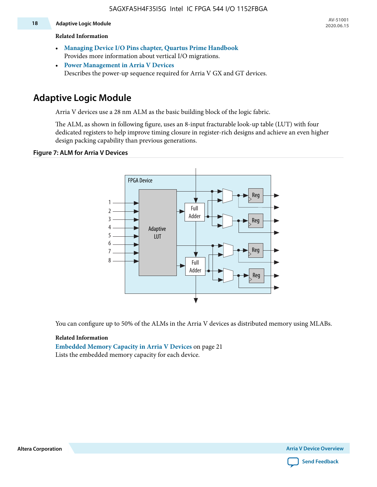#### **18 Adaptive Logic Module**

#### **Related Information**

- **[Managing Device I/O Pins chapter, Quartus Prime Handbook](https://documentation.altera.com/#/link/mwh1410471376527/mwh1410471036713/en-us)** Provides more information about vertical I/O migrations.
- **[Power Management in Arria V Devices](https://documentation.altera.com/#/link/sam1403480004852/sam1403479276301/en-us)** Describes the power-up sequence required for Arria V GX and GT devices.

# **Adaptive Logic Module**

Arria V devices use a 28 nm ALM as the basic building block of the logic fabric.

The ALM, as shown in following figure, uses an 8-input fracturable look-up table (LUT) with four dedicated registers to help improve timing closure in register-rich designs and achieve an even higher design packing capability than previous generations.

#### **Figure 7: ALM for Arria V Devices**



You can configure up to 50% of the ALMs in the Arria V devices as distributed memory using MLABs.

#### **Related Information**

**Embedded Memory Capacity in Arria V Devices** on page 21 Lists the embedded memory capacity for each device.



**Altera Corporation Arria V Device Overview**

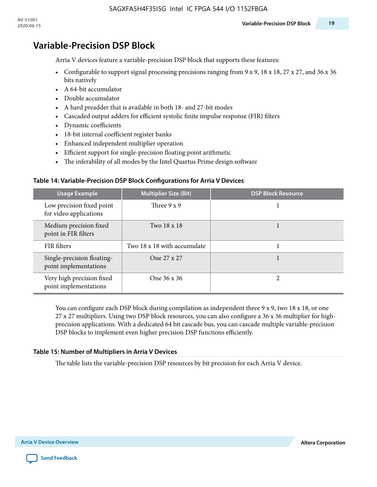# **Variable-Precision DSP Block**

Arria V devices feature a variable-precision DSP block that supports these features:

- Configurable to support signal processing precisions ranging from  $9 \times 9$ , 18  $\times$  18, 27  $\times$  27, and 36  $\times$  36 bits natively
- A 64-bit accumulator
- Double accumulator
- A hard preadder that is available in both 18- and 27-bit modes
- Cascaded output adders for efficient systolic finite impulse response (FIR) filters
- Dynamic coefficients
- 18-bit internal coefficient register banks
- Enhanced independent multiplier operation
- Efficient support for single-precision floating point arithmetic
- The inferability of all modes by the Intel Quartus Prime design software

#### **Table 14: Variable-Precision DSP Block Configurations for Arria V Devices**

| Usage Example                                       | <b>Multiplier Size (Bit)</b> | <b>DSP Block Resource</b> |
|-----------------------------------------------------|------------------------------|---------------------------|
| Low precision fixed point<br>for video applications | Three $9 \times 9$           |                           |
| Medium precision fixed<br>point in FIR filters      | Two 18 x 18                  |                           |
| FIR filters                                         | Two 18 x 18 with accumulate  |                           |
| Single-precision floating-<br>point implementations | One 27 x 27                  |                           |
| Very high precision fixed<br>point implementations  | One 36 x 36                  |                           |

You can configure each DSP block during compilation as independent three  $9 \times 9$ , two 18 x 18, or one 27 x 27 multipliers. Using two DSP block resources, you can also configure a 36 x 36 multiplier for highprecision applications. With a dedicated 64 bit cascade bus, you can cascade multiple variable-precision DSP blocks to implement even higher precision DSP functions efficiently.

#### **Table 15: Number of Multipliers in Arria V Devices**

The table lists the variable-precision DSP resources by bit precision for each Arria V device.

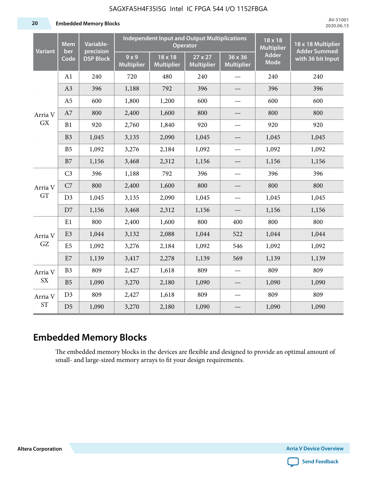5AGXFA5H4F35I5G Intel IC FPGA 544 I/O 1152FBGA

**20 Embedded Memory Blocks**

| <b>Mem</b><br><b>Variant</b><br>ber |                | Variable-<br>precision |                          | <b>Independent Input and Output Multiplications</b><br><b>Operator</b> | 18 x 18<br><b>Multiplier</b> | 18 x 18 Multiplier<br><b>Adder Summed</b> |                             |                   |
|-------------------------------------|----------------|------------------------|--------------------------|------------------------------------------------------------------------|------------------------------|-------------------------------------------|-----------------------------|-------------------|
|                                     | Code           | <b>DSP Block</b>       | 9x9<br><b>Multiplier</b> | 18 x 18<br><b>Multiplier</b>                                           | 27 x 27<br><b>Multiplier</b> | 36 x 36<br><b>Multiplier</b>              | <b>Adder</b><br><b>Mode</b> | with 36 bit Input |
|                                     | A1             | 240                    | 720                      | 480                                                                    | 240                          |                                           | 240                         | 240               |
|                                     | A3             | 396                    | 1,188                    | 792                                                                    | 396                          |                                           | 396                         | 396               |
|                                     | A <sub>5</sub> | 600                    | 1,800                    | 1,200                                                                  | 600                          | $\overline{\phantom{0}}$                  | 600                         | 600               |
| Arria V                             | A7             | 800                    | 2,400                    | 1,600                                                                  | 800                          |                                           | 800                         | 800               |
| <b>GX</b>                           | B1             | 920                    | 2,760                    | 1,840                                                                  | 920                          |                                           | 920                         | 920               |
|                                     | B <sub>3</sub> | 1,045                  | 3,135                    | 2,090                                                                  | 1,045                        |                                           | 1,045                       | 1,045             |
|                                     | B <sub>5</sub> | 1,092                  | 3,276                    | 2,184                                                                  | 1,092                        |                                           | 1,092                       | 1,092             |
|                                     | B7             | 1,156                  | 3,468                    | 2,312                                                                  | 1,156                        |                                           | 1,156                       | 1,156             |
|                                     | C <sub>3</sub> | 396                    | 1,188                    | 792                                                                    | 396                          |                                           | 396                         | 396               |
| Arria V                             | C7             | 800                    | 2,400                    | 1,600                                                                  | 800                          |                                           | 800                         | 800               |
| GT                                  | D <sub>3</sub> | 1,045                  | 3,135                    | 2,090                                                                  | 1,045                        |                                           | 1,045                       | 1,045             |
|                                     | D7             | 1,156                  | 3,468                    | 2,312                                                                  | 1,156                        | $\overline{\phantom{0}}$                  | 1,156                       | 1,156             |
|                                     | E1             | 800                    | 2,400                    | 1,600                                                                  | 800                          | 400                                       | 800                         | 800               |
| Arria V                             | E <sub>3</sub> | 1,044                  | 3,132                    | 2,088                                                                  | 1,044                        | 522                                       | 1,044                       | 1,044             |
| GZ                                  | E <sub>5</sub> | 1,092                  | 3,276                    | 2,184                                                                  | 1,092                        | 546                                       | 1,092                       | 1,092             |
|                                     | E7             | 1,139                  | 3,417                    | 2,278                                                                  | 1,139                        | 569                                       | 1,139                       | 1,139             |
| Arria V                             | B <sub>3</sub> | 809                    | 2,427                    | 1,618                                                                  | 809                          |                                           | 809                         | 809               |
| <b>SX</b>                           | B <sub>5</sub> | 1,090                  | 3,270                    | 2,180                                                                  | 1,090                        |                                           | 1,090                       | 1,090             |
| Arria V                             | D <sub>3</sub> | 809                    | 2,427                    | 1,618                                                                  | 809                          |                                           | 809                         | 809               |
| <b>ST</b>                           | D <sub>5</sub> | 1,090                  | 3,270                    | 2,180                                                                  | 1,090                        |                                           | 1,090                       | 1,090             |

# **Embedded Memory Blocks**

The embedded memory blocks in the devices are flexible and designed to provide an optimal amount of small- and large-sized memory arrays to fit your design requirements.

**Altera Corporation Arria V Device Overview**

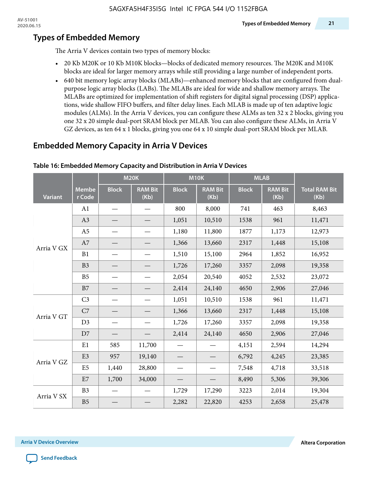# **Types of Embedded Memory**

The Arria V devices contain two types of memory blocks:

- 20 Kb M20K or 10 Kb M10K blocks—blocks of dedicated memory resources. The M20K and M10K blocks are ideal for larger memory arrays while still providing a large number of independent ports.
- 640 bit memory logic array blocks (MLABs)—enhanced memory blocks that are configured from dualpurpose logic array blocks (LABs). The MLABs are ideal for wide and shallow memory arrays. The MLABs are optimized for implementation of shift registers for digital signal processing (DSP) applica‐ tions, wide shallow FIFO buffers, and filter delay lines. Each MLAB is made up of ten adaptive logic modules (ALMs). In the Arria V devices, you can configure these ALMs as ten 32 x 2 blocks, giving you one 32 x 20 simple dual-port SRAM block per MLAB. You can also configure these ALMs, in Arria V GZ devices, as ten 64 x 1 blocks, giving you one 64 x 10 simple dual-port SRAM block per MLAB.

# **Embedded Memory Capacity in Arria V Devices**

|                |                        | <b>M20K</b>  |                        | <b>M10K</b>  |                        | <b>MLAB</b>  |                        |                              |
|----------------|------------------------|--------------|------------------------|--------------|------------------------|--------------|------------------------|------------------------------|
| <b>Variant</b> | <b>Membe</b><br>r Code | <b>Block</b> | <b>RAM Bit</b><br>(Kb) | <b>Block</b> | <b>RAM Bit</b><br>(Kb) | <b>Block</b> | <b>RAM Bit</b><br>(Kb) | <b>Total RAM Bit</b><br>(Kb) |
|                | A1                     |              |                        | 800          | 8,000                  | 741          | 463                    | 8,463                        |
|                | A3                     |              |                        | 1,051        | 10,510                 | 1538         | 961                    | 11,471                       |
|                | A <sub>5</sub>         |              |                        | 1,180        | 11,800                 | 1877         | 1,173                  | 12,973                       |
| Arria V GX     | A7                     |              |                        | 1,366        | 13,660                 | 2317         | 1,448                  | 15,108                       |
|                | B1                     |              |                        | 1,510        | 15,100                 | 2964         | 1,852                  | 16,952                       |
|                | B <sub>3</sub>         |              |                        | 1,726        | 17,260                 | 3357         | 2,098                  | 19,358                       |
|                | B <sub>5</sub>         |              |                        | 2,054        | 20,540                 | 4052         | 2,532                  | 23,072                       |
|                | B7                     |              |                        | 2,414        | 24,140                 | 4650         | 2,906                  | 27,046                       |
|                | C <sub>3</sub>         |              |                        | 1,051        | 10,510                 | 1538         | 961                    | 11,471                       |
| Arria V GT     | C7                     |              |                        | 1,366        | 13,660                 | 2317         | 1,448                  | 15,108                       |
|                | D3                     |              |                        | 1,726        | 17,260                 | 3357         | 2,098                  | 19,358                       |
|                | D7                     |              |                        | 2,414        | 24,140                 | 4650         | 2,906                  | 27,046                       |
| Arria V GZ     | E1                     | 585          | 11,700                 |              |                        | 4,151        | 2,594                  | 14,294                       |
|                | E <sub>3</sub>         | 957          | 19,140                 |              |                        | 6,792        | 4,245                  | 23,385                       |
|                | E <sub>5</sub>         | 1,440        | 28,800                 |              |                        | 7,548        | 4,718                  | 33,518                       |
|                | E7                     | 1,700        | 34,000                 |              |                        | 8,490        | 5,306                  | 39,306                       |
| Arria V SX     | B <sub>3</sub>         |              |                        | 1,729        | 17,290                 | 3223         | 2,014                  | 19,304                       |
|                | B <sub>5</sub>         |              |                        | 2,282        | 22,820                 | 4253         | 2,658                  | 25,478                       |

#### **Table 16: Embedded Memory Capacity and Distribution in Arria V Devices**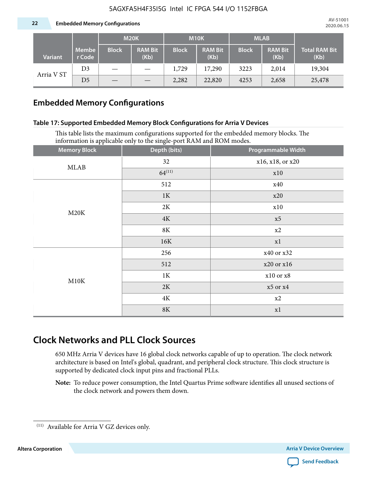|                |                 | <b>M20K</b>  |                        | <b>M10K</b>  |                        | <b>MLAB</b>  |                        |                       |
|----------------|-----------------|--------------|------------------------|--------------|------------------------|--------------|------------------------|-----------------------|
| <b>Variant</b> | Membe<br>r Code | <b>Block</b> | <b>RAM Bit</b><br>(Kb) | <b>Block</b> | <b>RAM Bit</b><br>(Kb) | <b>Block</b> | <b>RAM Bit</b><br>(Kb) | Total RAM Bit<br>(Kb) |
|                | D <sub>3</sub>  |              |                        | 1,729        | 17,290                 | 3223         | 2,014                  | 19,304                |
| Arria V ST     | D <sub>5</sub>  |              |                        | 2,282        | 22,820                 | 4253         | 2,658                  | 25,478                |

# **Embedded Memory Configurations**

#### **Table 17: Supported Embedded Memory Block Configurations for Arria V Devices**

This table lists the maximum configurations supported for the embedded memory blocks. The information is applicable only to the single-port RAM and ROM modes.

| <b>Memory Block</b> | Depth (bits)  | Programmable Width |
|---------------------|---------------|--------------------|
| <b>MLAB</b>         | 32            | x16, x18, or x20   |
|                     | $64^{(11)}$   | x10                |
|                     | 512           | x40                |
|                     | 1K            | x20                |
| M20K                | 2K            | x10                |
|                     | 4K            | x5                 |
|                     | $8\mathrm{K}$ | $\ge 2$            |
|                     | 16K           | x1                 |
|                     | 256           | x40 or x32         |
|                     | 512           | x20 or x16         |
| M10K                | $1\mathrm{K}$ | $x10$ or $x8$      |
|                     | 2K            | $x5$ or $x4$       |
|                     | $4\mathrm{K}$ | x2                 |
|                     | $8\mathrm{K}$ | x1                 |

# **Clock Networks and PLL Clock Sources**

650 MHz Arria V devices have 16 global clock networks capable of up to operation. The clock network architecture is based on Intel's global, quadrant, and peripheral clock structure. This clock structure is supported by dedicated clock input pins and fractional PLLs.

**Note:** To reduce power consumption, the Intel Quartus Prime software identifies all unused sections of the clock network and powers them down.



 $^{(11)}$  Available for Arria V GZ devices only.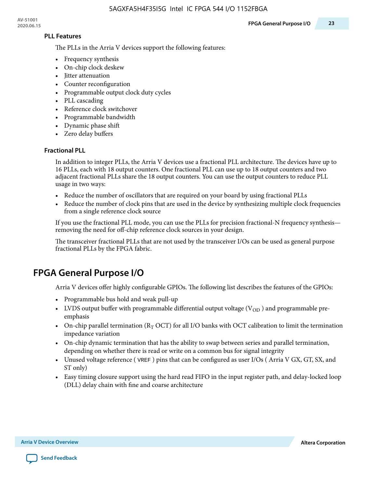#### **PLL Features**

The PLLs in the Arria V devices support the following features:

- Frequency synthesis
- On-chip clock deskew
- Jitter attenuation
- Counter reconfiguration
- Programmable output clock duty cycles
- PLL cascading
- Reference clock switchover
- Programmable bandwidth
- Dynamic phase shift
- Zero delay buffers

#### **Fractional PLL**

In addition to integer PLLs, the Arria V devices use a fractional PLL architecture. The devices have up to 16 PLLs, each with 18 output counters. One fractional PLL can use up to 18 output counters and two adjacent fractional PLLs share the 18 output counters. You can use the output counters to reduce PLL usage in two ways:

- Reduce the number of oscillators that are required on your board by using fractional PLLs
- Reduce the number of clock pins that are used in the device by synthesizing multiple clock frequencies from a single reference clock source

If you use the fractional PLL mode, you can use the PLLs for precision fractional-N frequency synthesis removing the need for off-chip reference clock sources in your design.

The transceiver fractional PLLs that are not used by the transceiver I/Os can be used as general purpose fractional PLLs by the FPGA fabric.

# **FPGA General Purpose I/O**

Arria V devices offer highly configurable GPIOs. The following list describes the features of the GPIOs:

- Programmable bus hold and weak pull-up
- LVDS output buffer with programmable differential output voltage  $(V_{OD})$  and programmable preemphasis
- On-chip parallel termination ( $R<sub>T</sub>$  OCT) for all I/O banks with OCT calibration to limit the termination impedance variation
- On-chip dynamic termination that has the ability to swap between series and parallel termination, depending on whether there is read or write on a common bus for signal integrity
- Unused voltage reference ( VREF ) pins that can be configured as user I/Os ( Arria V GX, GT, SX, and ST only)
- Easy timing closure support using the hard read FIFO in the input register path, and delay-locked loop (DLL) delay chain with fine and coarse architecture

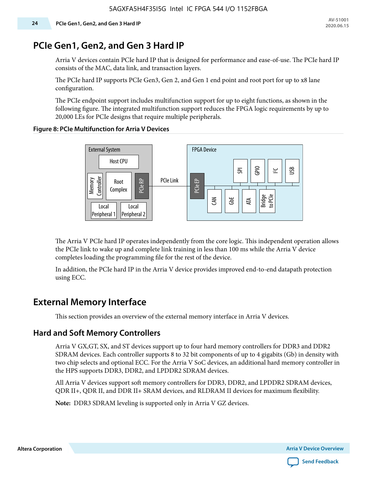# **PCIe Gen1, Gen2, and Gen 3 Hard IP**

Arria V devices contain PCIe hard IP that is designed for performance and ease-of-use. The PCIe hard IP consists of the MAC, data link, and transaction layers.

The PCIe hard IP supports PCIe Gen3, Gen 2, and Gen 1 end point and root port for up to x8 lane configuration.

The PCIe endpoint support includes multifunction support for up to eight functions, as shown in the following figure. The integrated multifunction support reduces the FPGA logic requirements by up to 20,000 LEs for PCIe designs that require multiple peripherals.

#### **Figure 8: PCIe Multifunction for Arria V Devices**



The Arria V PCIe hard IP operates independently from the core logic. This independent operation allows the PCIe link to wake up and complete link training in less than 100 ms while the Arria V device completes loading the programming file for the rest of the device.

In addition, the PCIe hard IP in the Arria V device provides improved end-to-end datapath protection using ECC.

# **External Memory Interface**

This section provides an overview of the external memory interface in Arria V devices.

# **Hard and Soft Memory Controllers**

Arria V GX,GT, SX, and ST devices support up to four hard memory controllers for DDR3 and DDR2 SDRAM devices. Each controller supports 8 to 32 bit components of up to 4 gigabits (Gb) in density with two chip selects and optional ECC. For the Arria V SoC devices, an additional hard memory controller in the HPS supports DDR3, DDR2, and LPDDR2 SDRAM devices.

All Arria V devices support soft memory controllers for DDR3, DDR2, and LPDDR2 SDRAM devices, QDR II+, QDR II, and DDR II+ SRAM devices, and RLDRAM II devices for maximum flexibility.

**Note:** DDR3 SDRAM leveling is supported only in Arria V GZ devices.



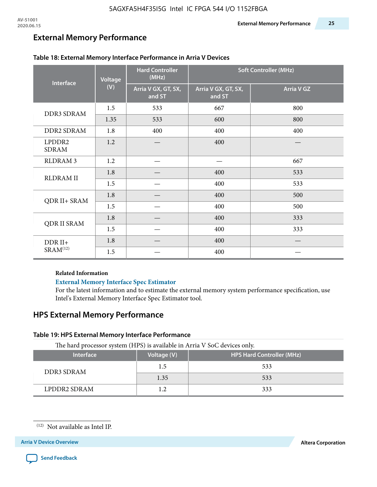# **External Memory Performance**

| <b>Interface</b>       | <b>Voltage</b> | <b>Hard Controller</b><br>(MHz) | <b>Soft Controller (MHz)</b>  |                   |  |
|------------------------|----------------|---------------------------------|-------------------------------|-------------------|--|
|                        | (V)            | Arria V GX, GT, SX,<br>and ST   | Arria V GX, GT, SX,<br>and ST | <b>Arria V GZ</b> |  |
| <b>DDR3 SDRAM</b>      | 1.5            | 533                             | 667                           | 800               |  |
|                        | 1.35           | 533                             | 600                           | 800               |  |
| <b>DDR2 SDRAM</b>      | 1.8            | 400                             | 400                           | 400               |  |
| LPDDR2<br><b>SDRAM</b> | 1.2            |                                 | 400                           |                   |  |
| <b>RLDRAM 3</b>        | 1.2            |                                 |                               | 667               |  |
| <b>RLDRAM II</b>       | 1.8            |                                 | 400                           | 533               |  |
|                        | 1.5            |                                 | 400                           | 533               |  |
| QDR II+ SRAM           | 1.8            |                                 | 400                           | 500               |  |
|                        | 1.5            |                                 | 400                           | 500               |  |
| <b>QDR II SRAM</b>     | 1.8            |                                 | 400                           | 333               |  |
|                        | 1.5            |                                 | 400                           | 333               |  |
| $DDR II+$              | 1.8            |                                 | 400                           |                   |  |
| SRAM <sup>(12)</sup>   | 1.5            |                                 | 400                           |                   |  |

#### **Table 18: External Memory Interface Performance in Arria V Devices**

#### **Related Information**

#### **[External Memory Interface Spec Estimator](https://www.altera.com/solutions/technology/external-memory/spec-estimator.html)**

For the latest information and to estimate the external memory system performance specification, use Intel's External Memory Interface Spec Estimator tool.

# **HPS External Memory Performance**

#### **Table 19: HPS External Memory Interface Performance**

The hard processor system (HPS) is available in Arria V SoC devices only.

| <b>Interface</b> | Voltage (V) | <b>HPS Hard Controller (MHz)</b> |
|------------------|-------------|----------------------------------|
| DDR3 SDRAM       | 1.5         | 533                              |
|                  | 1.35        | 533                              |
| LPDDR2 SDRAM     |             | 333                              |



<sup>(12)</sup> Not available as Intel IP.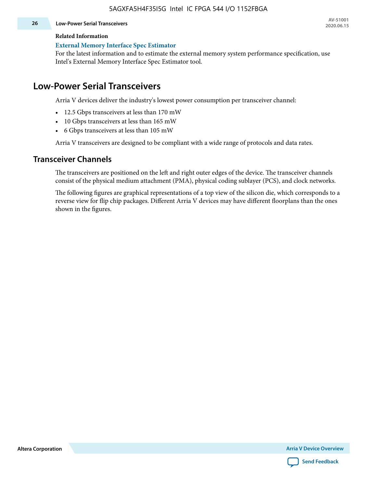#### **26 Low-Power Serial Transceivers**

#### **Related Information**

#### **[External Memory Interface Spec Estimator](https://www.altera.com/solutions/technology/external-memory/spec-estimator.html)**

For the latest information and to estimate the external memory system performance specification, use Intel's External Memory Interface Spec Estimator tool.

# **Low-Power Serial Transceivers**

Arria V devices deliver the industry's lowest power consumption per transceiver channel:

- 12.5 Gbps transceivers at less than 170 mW
- 10 Gbps transceivers at less than 165 mW
- 6 Gbps transceivers at less than 105 mW

Arria V transceivers are designed to be compliant with a wide range of protocols and data rates.

### **Transceiver Channels**

The transceivers are positioned on the left and right outer edges of the device. The transceiver channels consist of the physical medium attachment (PMA), physical coding sublayer (PCS), and clock networks.

The following figures are graphical representations of a top view of the silicon die, which corresponds to a reverse view for flip chip packages. Different Arria V devices may have different floorplans than the ones shown in the figures.

**Altera Corporation Arria V Device Overview**

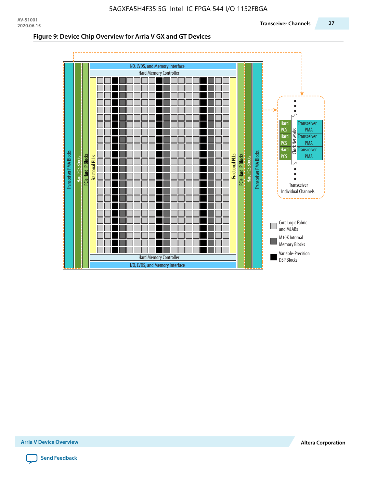#### **Figure 9: Device Chip Overview for Arria V GX and GT Devices**



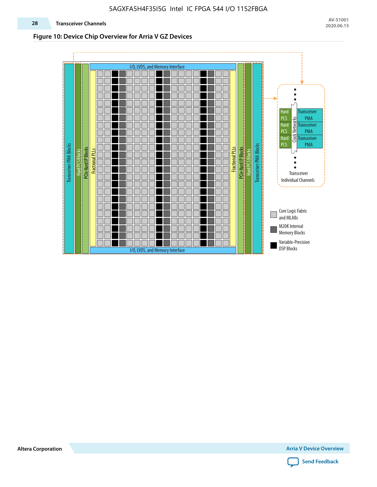#### **Figure 10: Device Chip Overview for Arria V GZ Devices**



**Altera Corporation Arria V Device Overview**

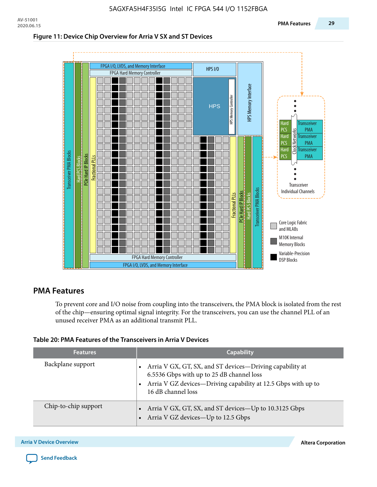#### **Figure 11: Device Chip Overview for Arria V SX and ST Devices**



### **PMA Features**

To prevent core and I/O noise from coupling into the transceivers, the PMA block is isolated from the rest of the chip—ensuring optimal signal integrity. For the transceivers, you can use the channel PLL of an unused receiver PMA as an additional transmit PLL.

#### **Table 20: PMA Features of the Transceivers in Arria V Devices**

| <b>Features</b>      | <b>Capability</b>                                                                                                                                                                                |
|----------------------|--------------------------------------------------------------------------------------------------------------------------------------------------------------------------------------------------|
| Backplane support    | • Arria V GX, GT, SX, and ST devices—Driving capability at<br>6.5536 Gbps with up to 25 dB channel loss<br>• Arria V GZ devices-Driving capability at 12.5 Gbps with up to<br>16 dB channel loss |
| Chip-to-chip support | Arria V GX, GT, SX, and ST devices—Up to 10.3125 Gbps<br>• Arria V GZ devices-Up to 12.5 Gbps                                                                                                    |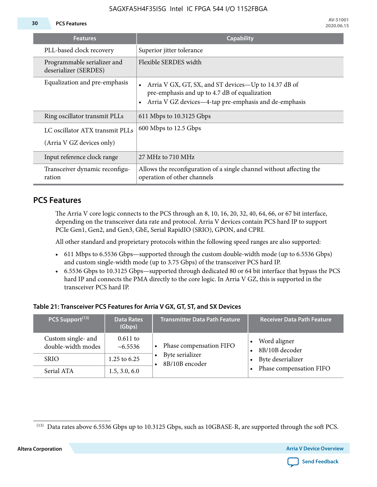#### **30 PCS Features**

| <b>Features</b>                                              | <b>Capability</b>                                                                                                                                                             |
|--------------------------------------------------------------|-------------------------------------------------------------------------------------------------------------------------------------------------------------------------------|
| PLL-based clock recovery                                     | Superior jitter tolerance                                                                                                                                                     |
| Programmable serializer and<br>deserializer (SERDES)         | Flexible SERDES width                                                                                                                                                         |
| Equalization and pre-emphasis                                | • Arria V GX, GT, SX, and ST devices—Up to 14.37 dB of<br>pre-emphasis and up to 4.7 dB of equalization<br>Arria V GZ devices—4-tap pre-emphasis and de-emphasis<br>$\bullet$ |
| Ring oscillator transmit PLLs                                | 611 Mbps to 10.3125 Gbps                                                                                                                                                      |
| LC oscillator ATX transmit PLLs<br>(Arria V GZ devices only) | 600 Mbps to 12.5 Gbps                                                                                                                                                         |
| Input reference clock range                                  | 27 MHz to 710 MHz                                                                                                                                                             |
| Transceiver dynamic reconfigu-<br>ration                     | Allows the reconfiguration of a single channel without affecting the<br>operation of other channels                                                                           |

# **PCS Features**

The Arria V core logic connects to the PCS through an 8, 10, 16, 20, 32, 40, 64, 66, or 67 bit interface, depending on the transceiver data rate and protocol. Arria V devices contain PCS hard IP to support PCIe Gen1, Gen2, and Gen3, GbE, Serial RapidIO (SRIO), GPON, and CPRI.

All other standard and proprietary protocols within the following speed ranges are also supported:

- 611 Mbps to 6.5536 Gbps—supported through the custom double-width mode (up to 6.5536 Gbps) and custom single-width mode (up to 3.75 Gbps) of the transceiver PCS hard IP.
- 6.5536 Gbps to 10.3125 Gbps—supported through dedicated 80 or 64 bit interface that bypass the PCS hard IP and connects the PMA directly to the core logic. In Arria V GZ, this is supported in the transceiver PCS hard IP.

#### **Table 21: Transceiver PCS Features for Arria V GX, GT, ST, and SX Devices**

| PCS Support <sup>(13)</sup>              | <b>Data Rates</b><br>(Gbps) | <b>Transmitter Data Path Feature</b> | <b>Receiver Data Path Feature</b> |
|------------------------------------------|-----------------------------|--------------------------------------|-----------------------------------|
| Custom single- and<br>double-width modes | $0.611$ to<br>$~10-6.5536$  | Phase compensation FIFO              | Word aligner<br>8B/10B decoder    |
| <b>SRIO</b>                              | 1.25 to 6.25                | Byte serializer<br>8B/10B encoder    | Byte deserializer                 |
| Serial ATA                               | 1.5, 3.0, 6.0               |                                      | Phase compensation FIFO           |





<sup>(13)</sup> Data rates above 6.5536 Gbps up to 10.3125 Gbps, such as 10GBASE-R, are supported through the soft PCS.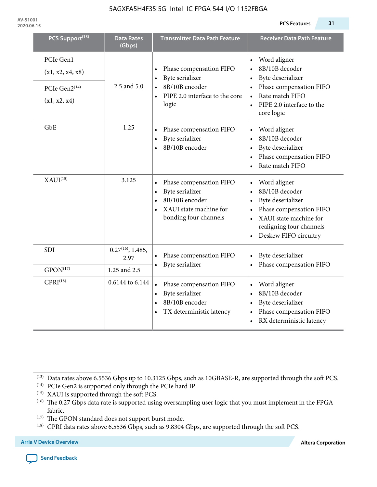**AV-51001 2020.06.15 PCS Features 31**

| PCS Support <sup>(13)</sup>                                    | <b>Data Rates</b><br>(Gbps)    | <b>Transmitter Data Path Feature</b>                                                                                                      | <b>Receiver Data Path Feature</b>                                                                                                                                          |
|----------------------------------------------------------------|--------------------------------|-------------------------------------------------------------------------------------------------------------------------------------------|----------------------------------------------------------------------------------------------------------------------------------------------------------------------------|
| PCIe Gen1<br>(x1, x2, x4, x8)<br>PCIe Gen2(14)<br>(x1, x2, x4) | 2.5 and 5.0                    | Phase compensation FIFO<br>Byte serializer<br>8B/10B encoder<br>PIPE 2.0 interface to the core<br>$\bullet$<br>logic                      | Word aligner<br>8B/10B decoder<br>Byte deserializer<br>Phase compensation FIFO<br>Rate match FIFO<br>PIPE 2.0 interface to the<br>core logic                               |
| GbE                                                            | 1.25                           | Phase compensation FIFO<br>Byte serializer<br>8B/10B encoder                                                                              | Word aligner<br>8B/10B decoder<br>Byte deserializer<br>Phase compensation FIFO<br>Rate match FIFO                                                                          |
| XAUI <sup>(15)</sup>                                           | 3.125                          | Phase compensation FIFO<br>Byte serializer<br>$\bullet$<br>8B/10B encoder<br>$\bullet$<br>XAUI state machine for<br>bonding four channels | Word aligner<br>$\bullet$<br>8B/10B decoder<br>Byte deserializer<br>Phase compensation FIFO<br>XAUI state machine for<br>realigning four channels<br>Deskew FIFO circuitry |
| <b>SDI</b>                                                     | $0.27^{(16)}$ , 1.485,<br>2.97 | Phase compensation FIFO<br>$\bullet$<br>Byte serializer                                                                                   | Byte deserializer<br>Phase compensation FIFO                                                                                                                               |
| $GPON^{(17)}$                                                  | 1.25 and 2.5                   |                                                                                                                                           |                                                                                                                                                                            |
| CPRI <sup>(18)</sup>                                           | 0.6144 to 6.144                | Phase compensation FIFO<br>$\bullet$<br>Byte serializer<br>$\bullet$<br>8B/10B encoder<br>$\bullet$<br>TX deterministic latency           | Word aligner<br>8B/10B decoder<br>Byte deserializer<br>Phase compensation FIFO<br>RX deterministic latency                                                                 |

<sup>(13)</sup> Data rates above 6.5536 Gbps up to 10.3125 Gbps, such as 10GBASE-R, are supported through the soft PCS.

<sup>(14)</sup> PCIe Gen2 is supported only through the PCIe hard IP.

 $^{(15)}\,$  XAUI is supported through the soft PCS.

<sup>(16)</sup> The 0.27 Gbps data rate is supported using oversampling user logic that you must implement in the FPGA fabric.

<sup>(17)</sup> The GPON standard does not support burst mode.

<sup>(18)</sup> CPRI data rates above 6.5536 Gbps, such as 9.8304 Gbps, are supported through the soft PCS.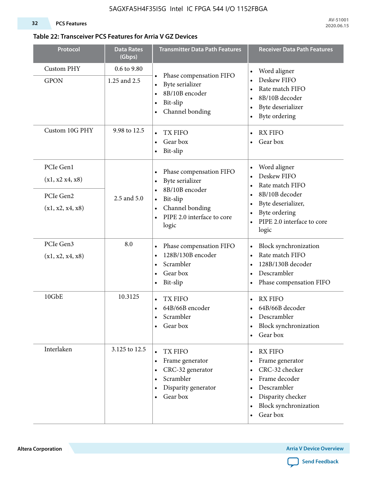#### **32 PCS Features**

#### **Table 22: Transceiver PCS Features for Arria V GZ Devices**

| Protocol                                                      | <b>Data Rates</b><br>(Gbps) | <b>Transmitter Data Path Features</b>                                                                                                                                                  | <b>Receiver Data Path Features</b>                                                                                                                                                                                                        |
|---------------------------------------------------------------|-----------------------------|----------------------------------------------------------------------------------------------------------------------------------------------------------------------------------------|-------------------------------------------------------------------------------------------------------------------------------------------------------------------------------------------------------------------------------------------|
| <b>Custom PHY</b><br><b>GPON</b>                              | 0.6 to 9.80<br>1.25 and 2.5 | Phase compensation FIFO<br>$\bullet$<br>Byte serializer<br>8B/10B encoder<br>Bit-slip<br>$\bullet$<br>Channel bonding<br>$\bullet$                                                     | Word aligner<br>$\bullet$<br>Deskew FIFO<br>$\bullet$<br>Rate match FIFO<br>$\bullet$<br>8B/10B decoder<br>$\bullet$<br>Byte deserializer<br>$\bullet$<br>Byte ordering<br>$\bullet$                                                      |
| Custom 10G PHY                                                | 9.98 to 12.5                | <b>TX FIFO</b><br>Gear box<br>$\bullet$<br>Bit-slip<br>$\bullet$                                                                                                                       | <b>RX FIFO</b><br>Gear box                                                                                                                                                                                                                |
| PCIe Gen1<br>(x1, x2 x4, x8)<br>PCIe Gen2<br>(x1, x2, x4, x8) | 2.5 and 5.0                 | Phase compensation FIFO<br>$\bullet$<br>Byte serializer<br>$\bullet$<br>8B/10B encoder<br>Bit-slip<br>$\bullet$<br>Channel bonding<br>$\bullet$<br>PIPE 2.0 interface to core<br>logic | Word aligner<br>$\bullet$<br>Deskew FIFO<br>$\bullet$<br>Rate match FIFO<br>$\bullet$<br>8B/10B decoder<br>$\bullet$<br>Byte deserializer,<br>$\bullet$<br>Byte ordering<br>$\bullet$<br>PIPE 2.0 interface to core<br>$\bullet$<br>logic |
| PCIe Gen3<br>(x1, x2, x4, x8)                                 | 8.0                         | Phase compensation FIFO<br>$\bullet$<br>128B/130B encoder<br>Scrambler<br>$\bullet$<br>Gear box<br>$\bullet$<br>Bit-slip<br>$\bullet$                                                  | Block synchronization<br>$\bullet$<br>Rate match FIFO<br>$\bullet$<br>128B/130B decoder<br>$\bullet$<br>Descrambler<br>$\bullet$<br>Phase compensation FIFO<br>$\bullet$                                                                  |
| 10GbE                                                         | 10.3125                     | TX FIFO<br>$\bullet$<br>64B/66B encoder<br>$\bullet$<br>Scrambler<br>Gear box<br>٠                                                                                                     | <b>RX FIFO</b><br>$\bullet$<br>64B/66B decoder<br>Descrambler<br>$\bullet$<br>Block synchronization<br>$\bullet$<br>Gear box<br>$\bullet$                                                                                                 |
| Interlaken                                                    | 3.125 to 12.5               | <b>TX FIFO</b><br>Frame generator<br>$\bullet$<br>CRC-32 generator<br>$\bullet$<br>Scrambler<br>$\bullet$<br>Disparity generator<br>٠<br>Gear box<br>$\bullet$                         | <b>RX FIFO</b><br>$\bullet$<br>Frame generator<br>٠<br>CRC-32 checker<br>$\bullet$<br>Frame decoder<br>$\bullet$<br>Descrambler<br>$\bullet$<br>Disparity checker<br>٠<br>Block synchronization<br>$\bullet$<br>Gear box<br>$\bullet$     |

**Altera Corporation Arria V Device Overview**

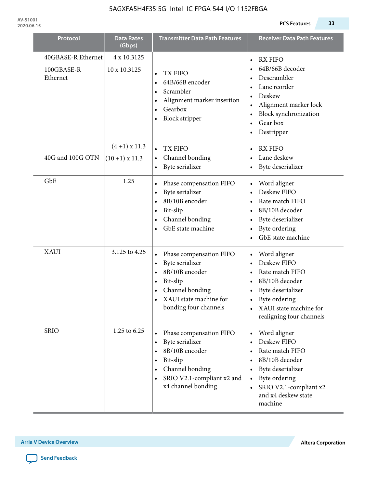| Protocol                                     | <b>Data Rates</b><br>(Gbps)       | <b>Transmitter Data Path Features</b>                                                                                                           | <b>Receiver Data Path Features</b>                                                                                                                                                                                     |
|----------------------------------------------|-----------------------------------|-------------------------------------------------------------------------------------------------------------------------------------------------|------------------------------------------------------------------------------------------------------------------------------------------------------------------------------------------------------------------------|
| 40GBASE-R Ethernet<br>100GBASE-R<br>Ethernet | 4 x 10.3125<br>10 x 10.3125       | TX FIFO<br>64B/66B encoder<br>$\bullet$<br>Scrambler<br>Alignment marker insertion<br>Gearbox<br><b>Block stripper</b><br>٠                     | <b>RX FIFO</b><br>$\bullet$<br>64B/66B decoder<br>Descrambler<br>Lane reorder<br>$\bullet$<br>Deskew<br>Alignment marker lock<br>$\bullet$<br>Block synchronization<br>Gear box<br>Destripper                          |
| 40G and 100G OTN                             | $(4+1)$ x 11.3<br>$(10+1)$ x 11.3 | TX FIFO<br>$\bullet$<br>Channel bonding<br>$\bullet$<br>Byte serializer                                                                         | <b>RX FIFO</b><br>$\bullet$<br>Lane deskew<br>Byte deserializer                                                                                                                                                        |
| GbE                                          | 1.25                              | Phase compensation FIFO<br>Byte serializer<br>8B/10B encoder<br>Bit-slip<br>Channel bonding<br>$\bullet$<br>GbE state machine                   | Word aligner<br>$\bullet$<br>Deskew FIFO<br>Rate match FIFO<br>$\bullet$<br>8B/10B decoder<br>Byte deserializer<br>٠<br>Byte ordering<br>GbE state machine                                                             |
| <b>XAUI</b>                                  | 3.125 to 4.25                     | Phase compensation FIFO<br>Byte serializer<br>8B/10B encoder<br>Bit-slip<br>Channel bonding<br>XAUI state machine for<br>bonding four channels  | Word aligner<br>$\bullet$<br>Deskew FIFO<br>$\bullet$<br>Rate match FIFO<br>$\bullet$<br>8B/10B decoder<br>$\bullet$<br>Byte deserializer<br>Byte ordering<br>XAUI state machine for<br>realigning four channels       |
| <b>SRIO</b>                                  | 1.25 to 6.25                      | Phase compensation FIFO<br>Byte serializer<br>8B/10B encoder<br>Bit-slip<br>Channel bonding<br>SRIO V2.1-compliant x2 and<br>x4 channel bonding | Word aligner<br>$\bullet$<br>Deskew FIFO<br>Rate match FIFO<br>8B/10B decoder<br>$\bullet$<br>Byte deserializer<br>$\bullet$<br>Byte ordering<br>$\bullet$<br>SRIO V2.1-compliant x2<br>and x4 deskew state<br>machine |

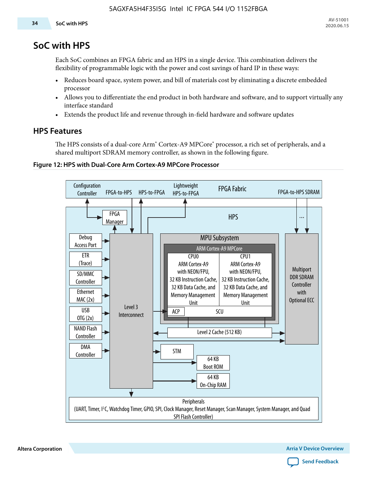# **SoC with HPS**

Each SoC combines an FPGA fabric and an HPS in a single device. This combination delivers the flexibility of programmable logic with the power and cost savings of hard IP in these ways:

- Reduces board space, system power, and bill of materials cost by eliminating a discrete embedded processor
- Allows you to differentiate the end product in both hardware and software, and to support virtually any interface standard
- Extends the product life and revenue through in-field hardware and software updates

# **HPS Features**

The HPS consists of a dual-core Arm\* Cortex-A9 MPCore\* processor, a rich set of peripherals, and a shared multiport SDRAM memory controller, as shown in the following figure.

#### **Figure 12: HPS with Dual-Core Arm Cortex-A9 MPCore Processor**



**Altera Corporation Arria V Device Overview**

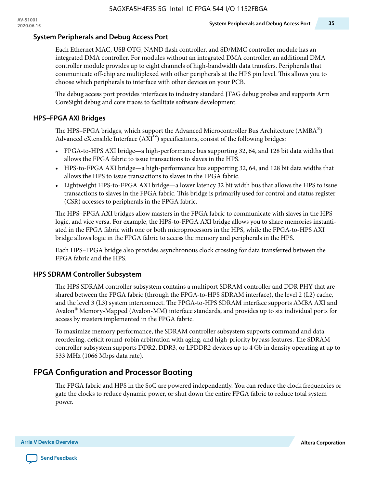#### **System Peripherals and Debug Access Port**

Each Ethernet MAC, USB OTG, NAND flash controller, and SD/MMC controller module has an integrated DMA controller. For modules without an integrated DMA controller, an additional DMA controller module provides up to eight channels of high-bandwidth data transfers. Peripherals that communicate off-chip are multiplexed with other peripherals at the HPS pin level. This allows you to choose which peripherals to interface with other devices on your PCB.

The debug access port provides interfaces to industry standard JTAG debug probes and supports Arm CoreSight debug and core traces to facilitate software development.

#### **HPS–FPGA AXI Bridges**

The HPS–FPGA bridges, which support the Advanced Microcontroller Bus Architecture  $(AMBA^@)$ Advanced eXtensible Interface  $(AXI^{\mathbb{N}})$  specifications, consist of the following bridges:

- FPGA-to-HPS AXI bridge—a high-performance bus supporting 32, 64, and 128 bit data widths that allows the FPGA fabric to issue transactions to slaves in the HPS.
- HPS-to-FPGA AXI bridge—a high-performance bus supporting 32, 64, and 128 bit data widths that allows the HPS to issue transactions to slaves in the FPGA fabric.
- Lightweight HPS-to-FPGA AXI bridge—a lower latency 32 bit width bus that allows the HPS to issue transactions to slaves in the FPGA fabric. This bridge is primarily used for control and status register (CSR) accesses to peripherals in the FPGA fabric.

The HPS–FPGA AXI bridges allow masters in the FPGA fabric to communicate with slaves in the HPS logic, and vice versa. For example, the HPS-to-FPGA AXI bridge allows you to share memories instanti ated in the FPGA fabric with one or both microprocessors in the HPS, while the FPGA-to-HPS AXI bridge allows logic in the FPGA fabric to access the memory and peripherals in the HPS.

Each HPS–FPGA bridge also provides asynchronous clock crossing for data transferred between the FPGA fabric and the HPS.

#### **HPS SDRAM Controller Subsystem**

The HPS SDRAM controller subsystem contains a multiport SDRAM controller and DDR PHY that are shared between the FPGA fabric (through the FPGA-to-HPS SDRAM interface), the level 2 (L2) cache, and the level 3 (L3) system interconnect. The FPGA-to-HPS SDRAM interface supports AMBA AXI and Avalon® Memory-Mapped (Avalon-MM) interface standards, and provides up to six individual ports for access by masters implemented in the FPGA fabric.

To maximize memory performance, the SDRAM controller subsystem supports command and data reordering, deficit round-robin arbitration with aging, and high-priority bypass features. The SDRAM controller subsystem supports DDR2, DDR3, or LPDDR2 devices up to 4 Gb in density operating at up to 533 MHz (1066 Mbps data rate).

# **FPGA Configuration and Processor Booting**

The FPGA fabric and HPS in the SoC are powered independently. You can reduce the clock frequencies or gate the clocks to reduce dynamic power, or shut down the entire FPGA fabric to reduce total system power.

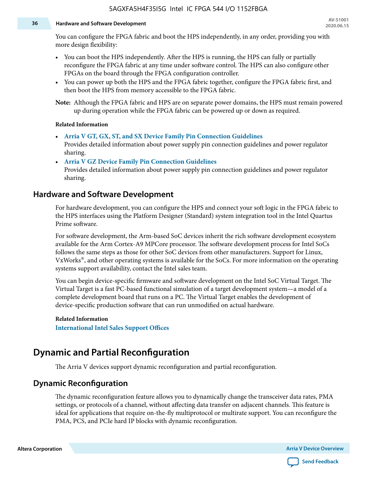#### **36 Hardware and Software Development**

You can configure the FPGA fabric and boot the HPS independently, in any order, providing you with more design flexibility:

- You can boot the HPS independently. After the HPS is running, the HPS can fully or partially reconfigure the FPGA fabric at any time under software control. The HPS can also configure other FPGAs on the board through the FPGA configuration controller.
- You can power up both the HPS and the FPGA fabric together, configure the FPGA fabric first, and then boot the HPS from memory accessible to the FPGA fabric.

**Note:** Although the FPGA fabric and HPS are on separate power domains, the HPS must remain powered up during operation while the FPGA fabric can be powered up or down as required.

#### **Related Information**

• **[Arria V GT, GX, ST, and SX Device Family Pin Connection Guidelines](https://www.altera.com/content/dam/altera-www/global/en_US/pdfs/literature/dp/arria-v/pcg-01013.pdf)**

Provides detailed information about power supply pin connection guidelines and power regulator sharing.

• **[Arria V GZ Device Family Pin Connection Guidelines](https://www.altera.com/content/dam/altera-www/global/en_US/pdfs/literature/dp/arria-v/pcg-01016.pdf)** Provides detailed information about power supply pin connection guidelines and power regulator sharing.

### **Hardware and Software Development**

For hardware development, you can configure the HPS and connect your soft logic in the FPGA fabric to the HPS interfaces using the Platform Designer (Standard) system integration tool in the Intel Quartus Prime software.

For software development, the Arm-based SoC devices inherit the rich software development ecosystem available for the Arm Cortex-A9 MPCore processor. The software development process for Intel SoCs follows the same steps as those for other SoC devices from other manufacturers. Support for Linux, VxWorks® , and other operating systems is available for the SoCs. For more information on the operating systems support availability, contact the Intel sales team.

You can begin device-specific firmware and software development on the Intel SoC Virtual Target. The Virtual Target is a fast PC-based functional simulation of a target development system—a model of a complete development board that runs on a PC. The Virtual Target enables the development of device-specific production software that can run unmodified on actual hardware.

#### **Related Information**

**[International Intel Sales Support Offices](https://www.altera.com/about/contact/contact/international-altera-sales-offices.html)**

# **Dynamic and Partial Reconfiguration**

The Arria V devices support dynamic reconfiguration and partial reconfiguration.

# **Dynamic Reconfiguration**

The dynamic reconfiguration feature allows you to dynamically change the transceiver data rates, PMA settings, or protocols of a channel, without affecting data transfer on adjacent channels. This feature is ideal for applications that require on-the-fly multiprotocol or multirate support. You can reconfigure the PMA, PCS, and PCIe hard IP blocks with dynamic reconfiguration.

**Altera Corporation Arria V Device Overview**

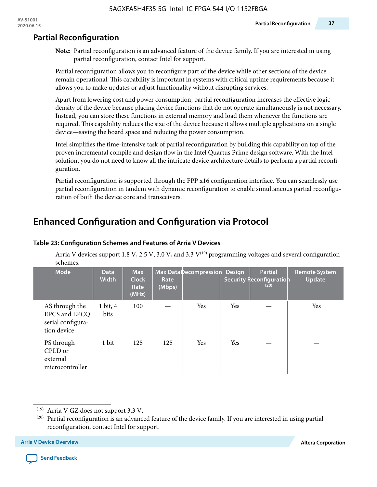# **Partial Reconfiguration**

**Note:** Partial reconfiguration is an advanced feature of the device family. If you are interested in using partial reconfiguration, contact Intel for support.

Partial reconfiguration allows you to reconfigure part of the device while other sections of the device remain operational. This capability is important in systems with critical uptime requirements because it allows you to make updates or adjust functionality without disrupting services.

Apart from lowering cost and power consumption, partial reconfiguration increases the effective logic density of the device because placing device functions that do not operate simultaneously is not necessary. Instead, you can store these functions in external memory and load them whenever the functions are required. This capability reduces the size of the device because it allows multiple applications on a single device—saving the board space and reducing the power consumption.

Intel simplifies the time-intensive task of partial reconfiguration by building this capability on top of the proven incremental compile and design flow in the Intel Quartus Prime design software. With the Intel solution, you do not need to know all the intricate device architecture details to perform a partial reconfi‐ guration.

Partial reconfiguration is supported through the FPP x16 configuration interface. You can seamlessly use partial reconfiguration in tandem with dynamic reconfiguration to enable simultaneous partial reconfiguration of both the device core and transceivers.

# **Enhanced Configuration and Configuration via Protocol**

| schemes.                                                            |                             |                                             |                |                        |               |                                                    |                                       |
|---------------------------------------------------------------------|-----------------------------|---------------------------------------------|----------------|------------------------|---------------|----------------------------------------------------|---------------------------------------|
| <b>Mode</b>                                                         | <b>Data</b><br><b>Width</b> | <b>Max</b><br><b>Clock</b><br>Rate<br>(MHz) | Rate<br>(Mbps) | Max Data Decompression | <b>Design</b> | <b>Partial</b><br>Security Reconfiguration<br>(20) | <b>Remote System</b><br><b>Update</b> |
| AS through the<br>EPCS and EPCQ<br>serial configura-<br>tion device | $1 \text{ bit}, 4$<br>bits  | 100                                         |                | <b>Yes</b>             | <b>Yes</b>    |                                                    | Yes                                   |
| PS through<br>CPLD or<br>external<br>microcontroller                | 1 bit                       | 125                                         | 125            | <b>Yes</b>             | <b>Yes</b>    |                                                    |                                       |

#### **Table 23: Configuration Schemes and Features of Arria V Devices**

Arria V devices support 1.8 V, 2.5 V, 3.0 V, and 3.3  $V^{(19)}$  programming voltages and several configuration schemes.



<sup>(19)</sup> Arria V GZ does not support 3.3 V.

 $(20)$  Partial reconfiguration is an advanced feature of the device family. If you are interested in using partial reconfiguration, contact Intel for support.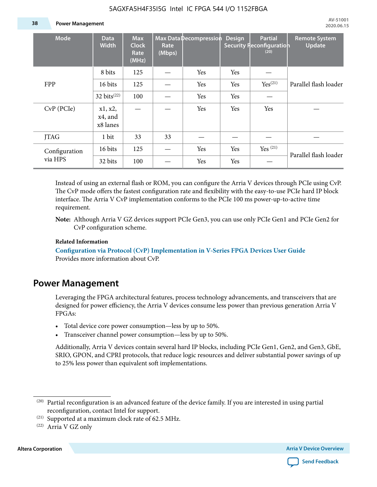#### **38 Power Management**

| <b>Mode</b>              | <b>Data</b><br><b>Width</b>    | <b>Max</b><br><b>Clock</b><br>Rate<br>(MHz) | Rate<br>(Mbps) | Max Data Decompression | <b>Design</b> | <b>Partial</b><br>Security Reconfiguration<br>(20) | <b>Remote System</b><br><b>Update</b> |
|--------------------------|--------------------------------|---------------------------------------------|----------------|------------------------|---------------|----------------------------------------------------|---------------------------------------|
|                          | 8 bits                         | 125                                         |                | Yes                    | Yes           |                                                    |                                       |
| <b>FPP</b>               | 16 bits                        | 125                                         |                | Yes                    | Yes           | Yes <sup>(21)</sup>                                | Parallel flash loader                 |
|                          | 32 bits $^{(22)}$              | 100                                         |                | Yes                    | Yes           |                                                    |                                       |
| $CvP$ (PCIe)             | x1, x2,<br>x4, and<br>x8 lanes |                                             |                | Yes                    | Yes           | Yes                                                |                                       |
| <b>JTAG</b>              | 1 bit                          | 33                                          | 33             |                        |               |                                                    |                                       |
| Configuration<br>via HPS | 16 bits                        | 125                                         |                | Yes                    | Yes           | Yes $(21)$                                         | Parallel flash loader                 |
|                          | 32 bits                        | 100                                         |                | Yes                    | Yes           |                                                    |                                       |

Instead of using an external flash or ROM, you can configure the Arria V devices through PCIe using CvP. The CvP mode offers the fastest configuration rate and flexibility with the easy-to-use PCIe hard IP block interface. The Arria V CvP implementation conforms to the PCIe 100 ms power-up-to-active time requirement.

#### **Related Information**

**[Configuration via Protocol \(CvP\) Implementation in V-Series FPGA Devices User Guide](https://documentation.altera.com/#/link/nik1412546950394/nik1412546833714/en-us)** Provides more information about CvP.

# **Power Management**

Leveraging the FPGA architectural features, process technology advancements, and transceivers that are designed for power efficiency, the Arria V devices consume less power than previous generation Arria V FPGAs:

- Total device core power consumption—less by up to 50%.
- Transceiver channel power consumption—less by up to 50%.

Additionally, Arria V devices contain several hard IP blocks, including PCIe Gen1, Gen2, and Gen3, GbE, SRIO, GPON, and CPRI protocols, that reduce logic resources and deliver substantial power savings of up to 25% less power than equivalent soft implementations.

**Altera Corporation Arria V Device Overview**



**Note:** Although Arria V GZ devices support PCIe Gen3, you can use only PCIe Gen1 and PCIe Gen2 for CvP configuration scheme.

 $(20)$  Partial reconfiguration is an advanced feature of the device family. If you are interested in using partial reconfiguration, contact Intel for support.

<sup>(21)</sup> Supported at a maximum clock rate of 62.5 MHz.

<sup>(22)</sup> Arria V GZ only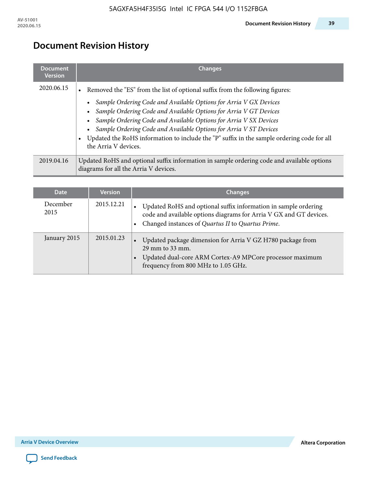# **Document Revision History**

| <b>Document</b><br><b>Version</b> | <b>Changes</b>                                                                                                                                                                                                                                                                                                                                                                                                                                                                                                                                           |
|-----------------------------------|----------------------------------------------------------------------------------------------------------------------------------------------------------------------------------------------------------------------------------------------------------------------------------------------------------------------------------------------------------------------------------------------------------------------------------------------------------------------------------------------------------------------------------------------------------|
| 2020.06.15                        | Removed the "ES" from the list of optional suffix from the following figures:<br>$\bullet$<br>Sample Ordering Code and Available Options for Arria V GX Devices<br>$\bullet$<br>Sample Ordering Code and Available Options for Arria V GT Devices<br>$\bullet$<br>Sample Ordering Code and Available Options for Arria V SX Devices<br>$\bullet$<br>Sample Ordering Code and Available Options for Arria V ST Devices<br>$\bullet$<br>Updated the RoHS information to include the "P" suffix in the sample ordering code for all<br>the Arria V devices. |
| 2019.04.16                        | Updated RoHS and optional suffix information in sample ordering code and available options<br>diagrams for all the Arria V devices.                                                                                                                                                                                                                                                                                                                                                                                                                      |

| <b>Date</b>      | <b>Version</b> | <b>Changes</b>                                                                                                                                                                                |
|------------------|----------------|-----------------------------------------------------------------------------------------------------------------------------------------------------------------------------------------------|
| December<br>2015 | 2015.12.21     | Updated RoHS and optional suffix information in sample ordering<br>code and available options diagrams for Arria V GX and GT devices.<br>Changed instances of Quartus II to Quartus Prime.    |
| January 2015     | 2015.01.23     | Updated package dimension for Arria V GZ H780 package from<br>$\bullet$<br>29 mm to 33 mm.<br>Updated dual-core ARM Cortex-A9 MPCore processor maximum<br>frequency from 800 MHz to 1.05 GHz. |

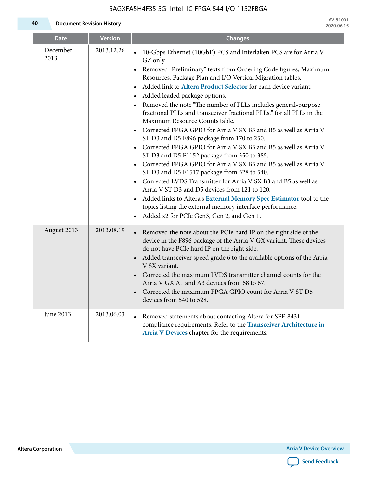**40 Document Revision History**

| <b>Date</b>      | <b>Version</b> | <b>Changes</b>                                                                                                                                                                                                                                                                                                                                                                                                                                                                                                                                                                                                                                                                                                                                                                                                                                                                                                                                                                                                                                                                                                                                                                                                                                 |
|------------------|----------------|------------------------------------------------------------------------------------------------------------------------------------------------------------------------------------------------------------------------------------------------------------------------------------------------------------------------------------------------------------------------------------------------------------------------------------------------------------------------------------------------------------------------------------------------------------------------------------------------------------------------------------------------------------------------------------------------------------------------------------------------------------------------------------------------------------------------------------------------------------------------------------------------------------------------------------------------------------------------------------------------------------------------------------------------------------------------------------------------------------------------------------------------------------------------------------------------------------------------------------------------|
| December<br>2013 | 2013.12.26     | 10-Gbps Ethernet (10GbE) PCS and Interlaken PCS are for Arria V<br>$\bullet$<br>GZ only.<br>Removed "Preliminary" texts from Ordering Code figures, Maximum<br>$\bullet$<br>Resources, Package Plan and I/O Vertical Migration tables.<br>Added link to Altera Product Selector for each device variant.<br>$\bullet$<br>Added leaded package options.<br>$\bullet$<br>Removed the note "The number of PLLs includes general-purpose<br>$\bullet$<br>fractional PLLs and transceiver fractional PLLs." for all PLLs in the<br>Maximum Resource Counts table.<br>Corrected FPGA GPIO for Arria V SX B3 and B5 as well as Arria V<br>ST D3 and D5 F896 package from 170 to 250.<br>Corrected FPGA GPIO for Arria V SX B3 and B5 as well as Arria V<br>ST D3 and D5 F1152 package from 350 to 385.<br>Corrected FPGA GPIO for Arria V SX B3 and B5 as well as Arria V<br>ST D3 and D5 F1517 package from 528 to 540.<br>Corrected LVDS Transmitter for Arria V SX B3 and B5 as well as<br>$\bullet$<br>Arria V ST D3 and D5 devices from 121 to 120.<br>Added links to Altera's External Memory Spec Estimator tool to the<br>$\bullet$<br>topics listing the external memory interface performance.<br>Added x2 for PCIe Gen3, Gen 2, and Gen 1. |
| August 2013      | 2013.08.19     | • Removed the note about the PCIe hard IP on the right side of the<br>device in the F896 package of the Arria V GX variant. These devices<br>do not have PCIe hard IP on the right side.<br>Added transceiver speed grade 6 to the available options of the Arria<br>$\bullet$<br>V SX variant.<br>• Corrected the maximum LVDS transmitter channel counts for the<br>Arria V GX A1 and A3 devices from 68 to 67.<br>Corrected the maximum FPGA GPIO count for Arria V ST D5<br>devices from 540 to 528.                                                                                                                                                                                                                                                                                                                                                                                                                                                                                                                                                                                                                                                                                                                                       |
| June 2013        | 2013.06.03     | Removed statements about contacting Altera for SFF-8431<br>$\bullet$<br>compliance requirements. Refer to the Transceiver Architecture in<br>Arria V Devices chapter for the requirements.                                                                                                                                                                                                                                                                                                                                                                                                                                                                                                                                                                                                                                                                                                                                                                                                                                                                                                                                                                                                                                                     |

**Altera Corporation Arria V Device Overview**

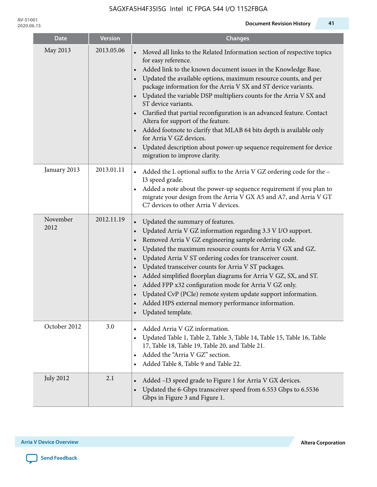| <b>Date</b>      | <b>Version</b> | <b>Changes</b>                                                                                                                                                                                                                                                                                                                                                                                                                                                                                                                                                                                                                                                                                                                                                     |
|------------------|----------------|--------------------------------------------------------------------------------------------------------------------------------------------------------------------------------------------------------------------------------------------------------------------------------------------------------------------------------------------------------------------------------------------------------------------------------------------------------------------------------------------------------------------------------------------------------------------------------------------------------------------------------------------------------------------------------------------------------------------------------------------------------------------|
| May 2013         | 2013.05.06     | Moved all links to the Related Information section of respective topics<br>for easy reference.<br>Added link to the known document issues in the Knowledge Base.<br>$\bullet$<br>Updated the available options, maximum resource counts, and per<br>package information for the Arria V SX and ST device variants.<br>Updated the variable DSP multipliers counts for the Arria V SX and<br>$\bullet$<br>ST device variants.<br>Clarified that partial reconfiguration is an advanced feature. Contact<br>Altera for support of the feature.<br>Added footnote to clarify that MLAB 64 bits depth is available only<br>for Arria V GZ devices.<br>Updated description about power-up sequence requirement for device<br>$\bullet$<br>migration to improve clarity. |
| January 2013     | 2013.01.11     | Added the L optional suffix to the Arria V GZ ordering code for the -<br>I3 speed grade.<br>Added a note about the power-up sequence requirement if you plan to<br>$\bullet$<br>migrate your design from the Arria V GX A5 and A7, and Arria V GT<br>C7 devices to other Arria V devices.                                                                                                                                                                                                                                                                                                                                                                                                                                                                          |
| November<br>2012 | 2012.11.19     | Updated the summary of features.<br>$\bullet$<br>Updated Arria V GZ information regarding 3.3 V I/O support.<br>$\bullet$<br>Removed Arria V GZ engineering sample ordering code.<br>$\bullet$<br>Updated the maximum resource counts for Arria V GX and GZ.<br>$\bullet$<br>Updated Arria V ST ordering codes for transceiver count.<br>$\bullet$<br>Updated transceiver counts for Arria V ST packages.<br>Added simplified floorplan diagrams for Arria V GZ, SX, and ST.<br>$\bullet$<br>Added FPP x32 configuration mode for Arria V GZ only.<br>Updated CvP (PCIe) remote system update support information.<br>Added HPS external memory performance information.<br>Updated template.                                                                      |
| October 2012     | 3.0            | Added Arria V GZ information.<br>$\bullet$<br>Updated Table 1, Table 2, Table 3, Table 14, Table 15, Table 16, Table<br>$\bullet$<br>17, Table 18, Table 19, Table 20, and Table 21.<br>Added the "Arria V GZ" section.<br>$\bullet$<br>Added Table 8, Table 9 and Table 22.                                                                                                                                                                                                                                                                                                                                                                                                                                                                                       |
| <b>July 2012</b> | 2.1            | Added -I3 speed grade to Figure 1 for Arria V GX devices.<br>$\bullet$<br>Updated the 6-Gbps transceiver speed from 6.553 Gbps to 6.5536<br>Gbps in Figure 3 and Figure 1.                                                                                                                                                                                                                                                                                                                                                                                                                                                                                                                                                                                         |

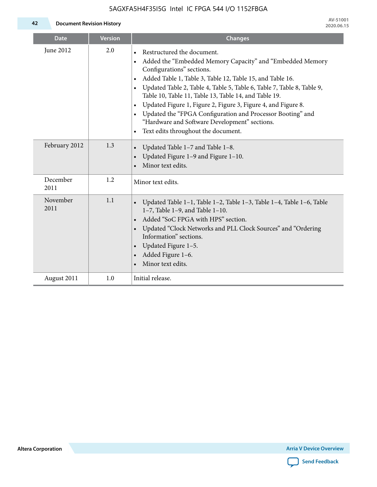**42 Document Revision History**

| <b>Date</b>      | <b>Version</b> | <b>Changes</b>                                                                                                                                                                                                                                                                                                                                                                                                                                                                                                                                                                                                                         |
|------------------|----------------|----------------------------------------------------------------------------------------------------------------------------------------------------------------------------------------------------------------------------------------------------------------------------------------------------------------------------------------------------------------------------------------------------------------------------------------------------------------------------------------------------------------------------------------------------------------------------------------------------------------------------------------|
| June 2012        | 2.0            | Restructured the document.<br>$\bullet$<br>Added the "Embedded Memory Capacity" and "Embedded Memory<br>$\bullet$<br>Configurations" sections.<br>Added Table 1, Table 3, Table 12, Table 15, and Table 16.<br>$\bullet$<br>Updated Table 2, Table 4, Table 5, Table 6, Table 7, Table 8, Table 9,<br>$\bullet$<br>Table 10, Table 11, Table 13, Table 14, and Table 19.<br>Updated Figure 1, Figure 2, Figure 3, Figure 4, and Figure 8.<br>$\bullet$<br>Updated the "FPGA Configuration and Processor Booting" and<br>$\bullet$<br>"Hardware and Software Development" sections.<br>Text edits throughout the document.<br>$\bullet$ |
| February 2012    | 1.3            | Updated Table 1-7 and Table 1-8.<br>$\bullet$<br>Updated Figure 1-9 and Figure 1-10.<br>$\bullet$<br>Minor text edits.                                                                                                                                                                                                                                                                                                                                                                                                                                                                                                                 |
| December<br>2011 | 1.2            | Minor text edits.                                                                                                                                                                                                                                                                                                                                                                                                                                                                                                                                                                                                                      |
| November<br>2011 | 1.1            | Updated Table 1-1, Table 1-2, Table 1-3, Table 1-4, Table 1-6, Table<br>$\bullet$<br>$1-7$ , Table 1-9, and Table 1-10.<br>Added "SoC FPGA with HPS" section.<br>$\bullet$<br>Updated "Clock Networks and PLL Clock Sources" and "Ordering<br>Information" sections.<br>Updated Figure $1-5$ .<br>$\bullet$<br>Added Figure 1-6.<br>$\bullet$<br>Minor text edits.                                                                                                                                                                                                                                                                     |
| August 2011      | 1.0            | Initial release.                                                                                                                                                                                                                                                                                                                                                                                                                                                                                                                                                                                                                       |

**Altera Corporation Arria V Device Overview**